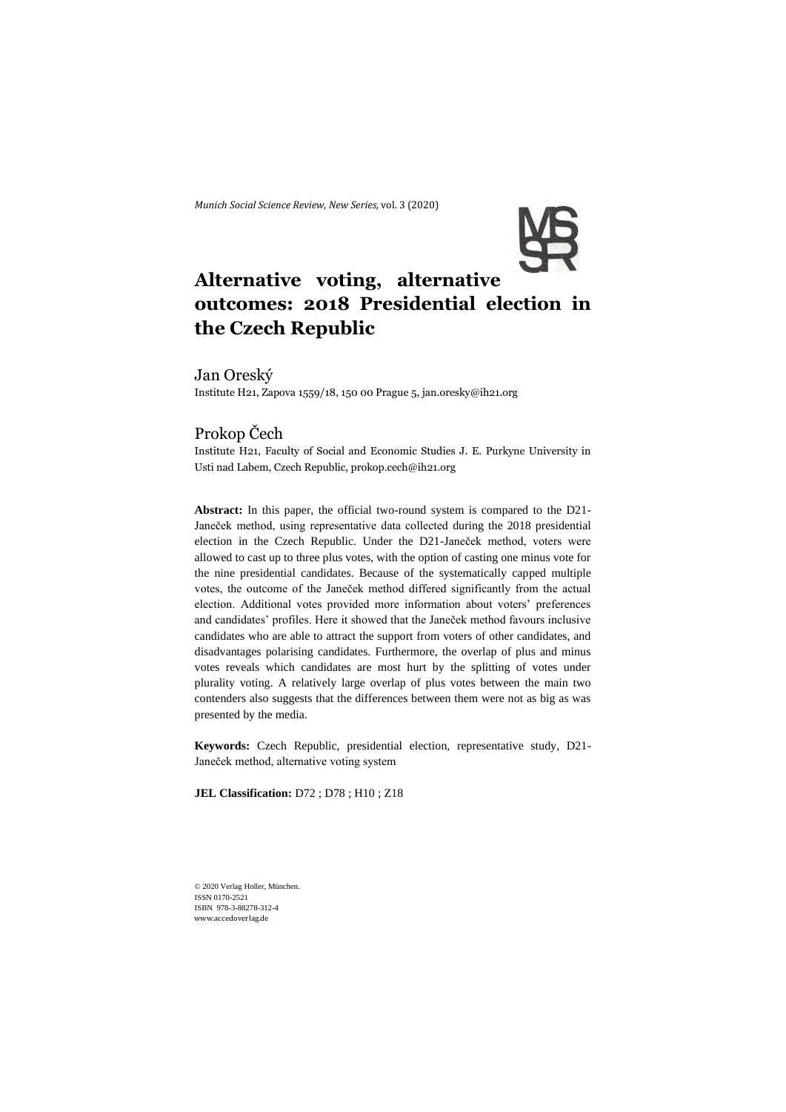*Munich Social Science Review*, *New Series,* vol. 3 (2020)



# **Alternative voting, alternative outcomes: 2018 Presidential election in the Czech Republic**

# Jan Oreský

Institute H21, Zapova 1559/18, 150 00 Prague 5, [jan.oresky@ih21.org](mailto:jan.oresky@ih21.org)

# Prokop Čech

Institute H21, Faculty of Social and Economic Studies J. E. Purkyne University in Usti nad Labem, Czech Republic, prokop.cech@ih21.org

**Abstract:** In this paper, the official two-round system is compared to the D21- Janeček method, using representative data collected during the 2018 presidential election in the Czech Republic. Under the D21-Janeček method, voters were allowed to cast up to three plus votes, with the option of casting one minus vote for the nine presidential candidates. Because of the systematically capped multiple votes, the outcome of the Janeček method differed significantly from the actual election. Additional votes provided more information about voters' preferences and candidates' profiles. Here it showed that the Janeček method favours inclusive candidates who are able to attract the support from voters of other candidates, and disadvantages polarising candidates. Furthermore, the overlap of plus and minus votes reveals which candidates are most hurt by the splitting of votes under plurality voting. A relatively large overlap of plus votes between the main two contenders also suggests that the differences between them were not as big as was presented by the media.

**Keywords:** Czech Republic, presidential election, representative study, D21- Janeček method, alternative voting system

**JEL Classification:** D72 ; D78 ; H10 ; Z18

© 2020 Verlag Holler, München. ISSN 0170-2521 ISBN 978-3-88278-312-4 www.accedoverlag.de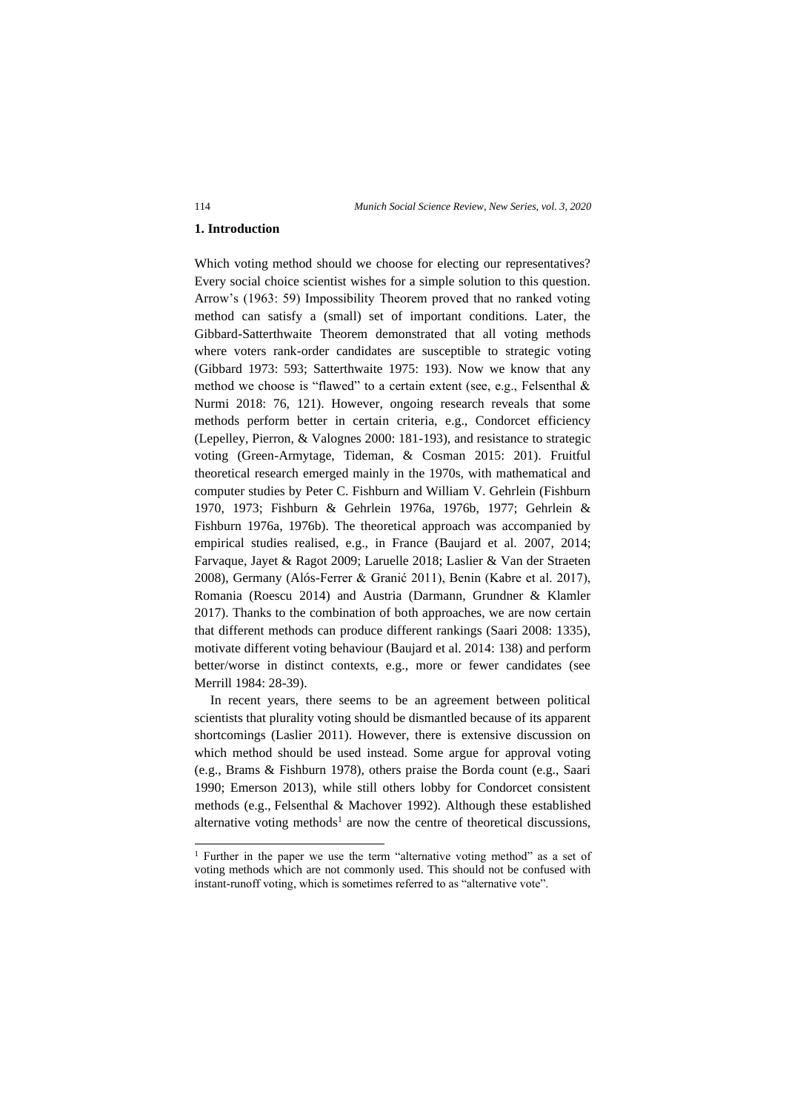## **1. Introduction**

Which voting method should we choose for electing our representatives? Every social choice scientist wishes for a simple solution to this question. Arrow's (1963: 59) Impossibility Theorem proved that no ranked voting method can satisfy a (small) set of important conditions. Later, the Gibbard-Satterthwaite Theorem demonstrated that all voting methods where voters rank-order candidates are susceptible to strategic voting (Gibbard 1973: 593; Satterthwaite 1975: 193). Now we know that any method we choose is "flawed" to a certain extent (see, e.g., Felsenthal & Nurmi 2018: 76, 121). However, ongoing research reveals that some methods perform better in certain criteria, e.g., Condorcet efficiency (Lepelley, Pierron, & Valognes 2000: 181-193), and resistance to strategic voting (Green-Armytage, Tideman, & Cosman 2015: 201). Fruitful theoretical research emerged mainly in the 1970s, with mathematical and computer studies by Peter C. Fishburn and William V. Gehrlein (Fishburn 1970, 1973; Fishburn & Gehrlein 1976a, 1976b, 1977; Gehrlein & Fishburn 1976a, 1976b). The theoretical approach was accompanied by empirical studies realised, e.g., in France (Baujard et al. 2007, 2014; Farvaque, Jayet & Ragot 2009; Laruelle 2018; Laslier & Van der Straeten 2008), Germany (Alós-Ferrer & Granić 2011), Benin (Kabre et al. 2017), Romania (Roescu 2014) and Austria (Darmann, Grundner & Klamler 2017). Thanks to the combination of both approaches, we are now certain that different methods can produce different rankings (Saari 2008: 1335), motivate different voting behaviour (Baujard et al. 2014: 138) and perform better/worse in distinct contexts, e.g., more or fewer candidates (see Merrill 1984: 28-39).

In recent years, there seems to be an agreement between political scientists that plurality voting should be dismantled because of its apparent shortcomings (Laslier 2011). However, there is extensive discussion on which method should be used instead. Some argue for approval voting (e.g., Brams & Fishburn 1978), others praise the Borda count (e.g., Saari 1990; Emerson 2013), while still others lobby for Condorcet consistent methods (e.g., Felsenthal & Machover 1992). Although these established alternative voting methods<sup>1</sup> are now the centre of theoretical discussions,

<sup>&</sup>lt;sup>1</sup> Further in the paper we use the term "alternative voting method" as a set of voting methods which are not commonly used. This should not be confused with instant-runoff voting, which is sometimes referred to as "alternative vote".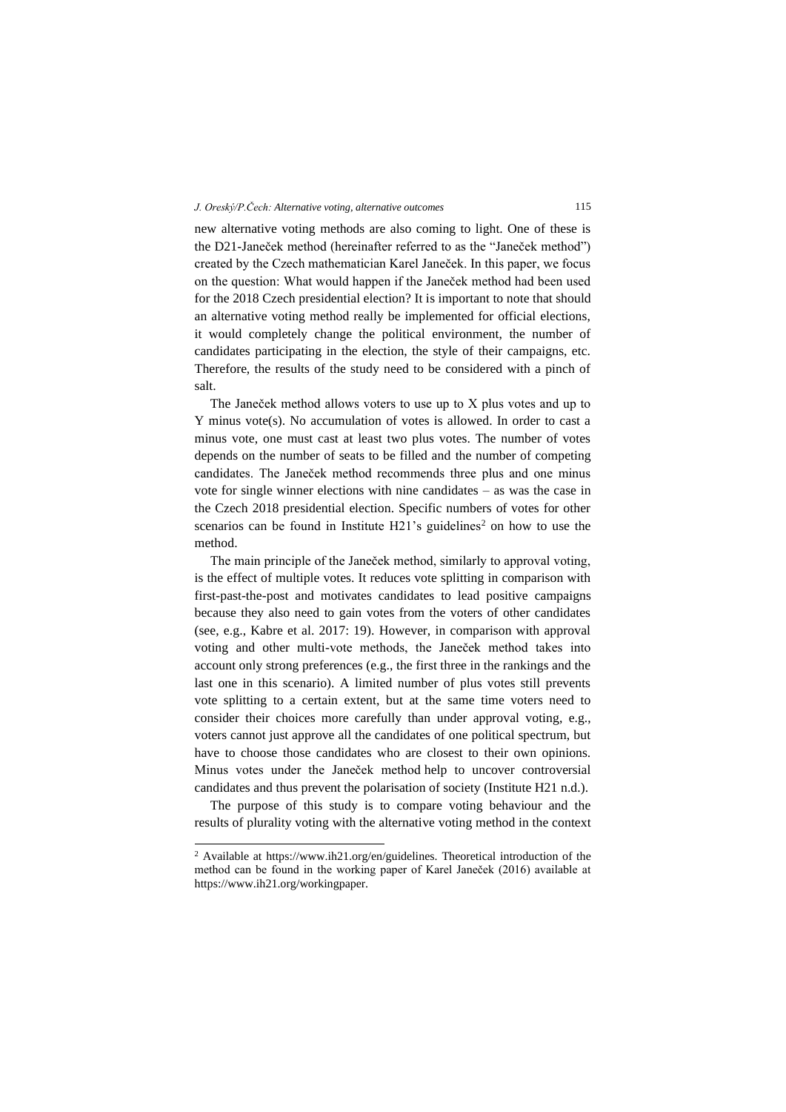new alternative voting methods are also coming to light. One of these is the D21-Janeček method (hereinafter referred to as the "Janeček method") created by the Czech mathematician Karel Janeček. In this paper, we focus on the question: What would happen if the Janeček method had been used for the 2018 Czech presidential election? It is important to note that should an alternative voting method really be implemented for official elections, it would completely change the political environment, the number of candidates participating in the election, the style of their campaigns, etc. Therefore, the results of the study need to be considered with a pinch of salt.

The Janeček method allows voters to use up to X plus votes and up to Y minus vote(s). No accumulation of votes is allowed. In order to cast a minus vote, one must cast at least two plus votes. The number of votes depends on the number of seats to be filled and the number of competing candidates. The Janeček method recommends three plus and one minus vote for single winner elections with nine candidates – as was the case in the Czech 2018 presidential election. Specific numbers of votes for other scenarios can be found in Institute  $H21$ 's guidelines<sup>2</sup> on how to use the method.

The main principle of the Janeček method, similarly to approval voting, is the effect of multiple votes. It reduces vote splitting in comparison with first-past-the-post and motivates candidates to lead positive campaigns because they also need to gain votes from the voters of other candidates (see, e.g., Kabre et al. 2017: 19). However, in comparison with approval voting and other multi-vote methods, the Janeček method takes into account only strong preferences (e.g., the first three in the rankings and the last one in this scenario). A limited number of plus votes still prevents vote splitting to a certain extent, but at the same time voters need to consider their choices more carefully than under approval voting, e.g., voters cannot just approve all the candidates of one political spectrum, but have to choose those candidates who are closest to their own opinions. Minus votes under the Janeček method help to uncover controversial candidates and thus prevent the polarisation of society (Institute H21 n.d.).

The purpose of this study is to compare voting behaviour and the results of plurality voting with the alternative voting method in the context

<sup>&</sup>lt;sup>2</sup> Available at [https://www.ih21.org/en/guidelines.](https://www.ih21.org/en/guidelines) Theoretical introduction of the method can be found in the working paper of Karel Janeček (2016) available at https://www.ih21.org/workingpaper.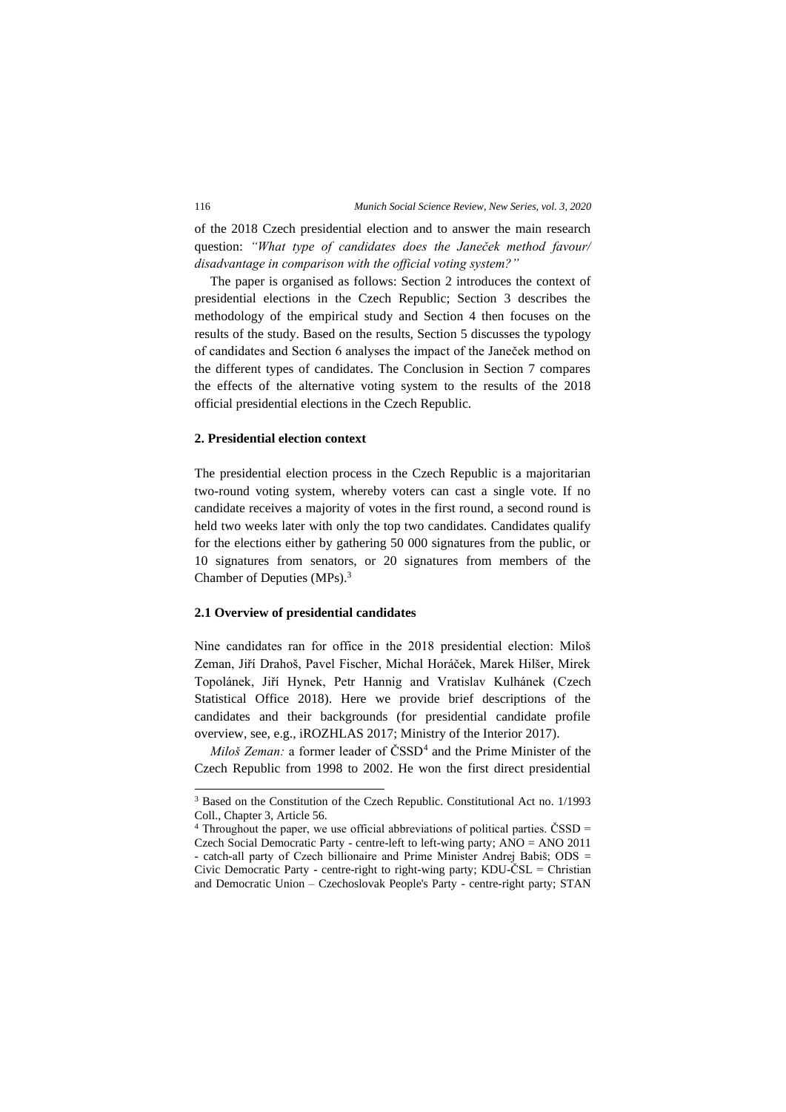of the 2018 Czech presidential election and to answer the main research question: *"What type of candidates does the Janeček method favour/ disadvantage in comparison with the official voting system?"*

The paper is organised as follows: Section 2 introduces the context of presidential elections in the Czech Republic; Section 3 describes the methodology of the empirical study and Section 4 then focuses on the results of the study. Based on the results, Section 5 discusses the typology of candidates and Section 6 analyses the impact of the Janeček method on the different types of candidates. The Conclusion in Section 7 compares the effects of the alternative voting system to the results of the 2018 official presidential elections in the Czech Republic.

## **2. Presidential election context**

The presidential election process in the Czech Republic is a majoritarian two-round voting system, whereby voters can cast a single vote. If no candidate receives a majority of votes in the first round, a second round is held two weeks later with only the top two candidates. Candidates qualify for the elections either by gathering 50 000 signatures from the public, or 10 signatures from senators, or 20 signatures from members of the Chamber of Deputies (MPs).<sup>3</sup>

## **2.1 Overview of presidential candidates**

Nine candidates ran for office in the 2018 presidential election: Miloš Zeman, Jiří Drahoš, Pavel Fischer, Michal Horáček, Marek Hilšer, Mirek Topolánek, Jiří Hynek, Petr Hannig and Vratislav Kulhánek (Czech Statistical Office 2018). Here we provide brief descriptions of the candidates and their backgrounds (for presidential candidate profile overview, see, e.g., iROZHLAS 2017; Ministry of the Interior 2017).

*Miloš Zeman:* a former leader of  $\text{CSSD}^4$  and the Prime Minister of the Czech Republic from 1998 to 2002. He won the first direct presidential

<sup>3</sup> Based on the Constitution of the Czech Republic. Constitutional Act no. 1/1993 Coll., Chapter 3, Article 56.

<sup>&</sup>lt;sup>4</sup> Throughout the paper, we use official abbreviations of political parties. ČSSD = Czech Social Democratic Party - centre-left to left-wing party; ANO = ANO 2011 - catch-all party of Czech billionaire and Prime Minister Andrej Babiš; ODS = Civic Democratic Party - centre-right to right-wing party; KDU-ČSL = Christian and Democratic Union – Czechoslovak People's Party - centre-right party; STAN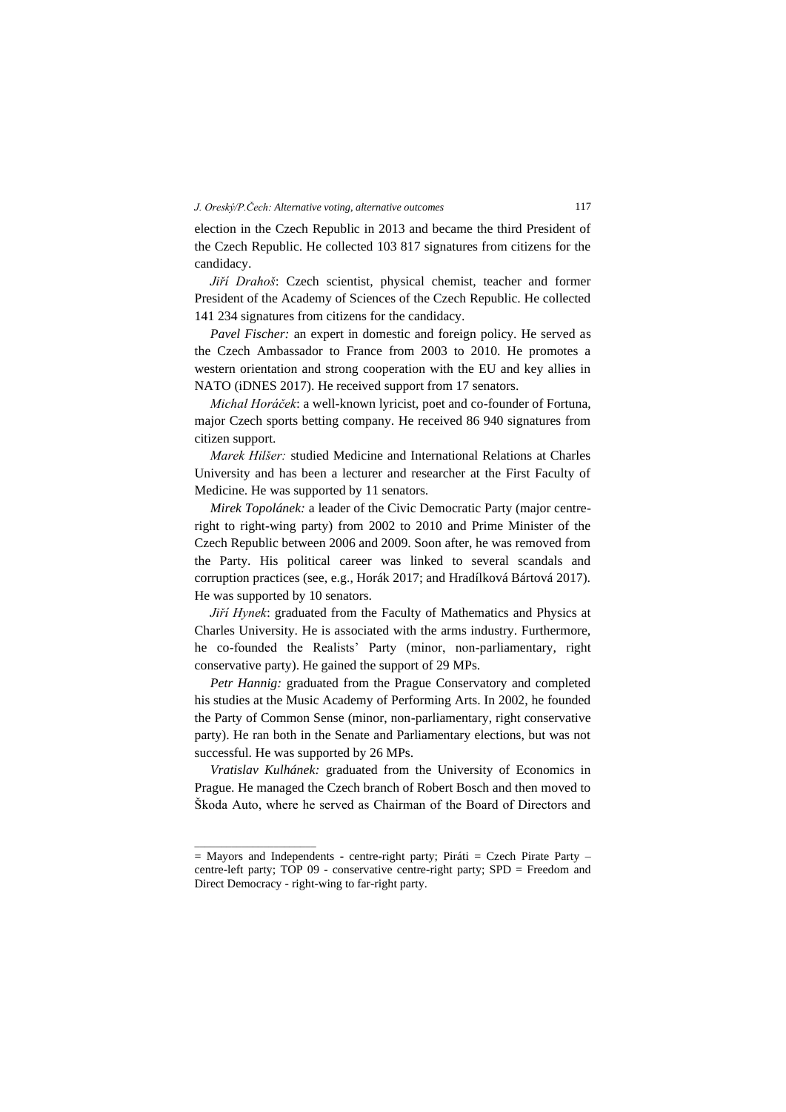election in the Czech Republic in 2013 and became the third President of the Czech Republic. He collected 103 817 signatures from citizens for the candidacy.

*Jiří Drahoš*: Czech scientist, physical chemist, teacher and former President of the Academy of Sciences of the Czech Republic. He collected 141 234 signatures from citizens for the candidacy.

*Pavel Fischer:* an expert in domestic and foreign policy. He served as the Czech Ambassador to France from 2003 to 2010. He promotes a western orientation and strong cooperation with the EU and key allies in NATO (iDNES 2017). He received support from 17 senators.

*Michal Horáček*: a well-known lyricist, poet and co-founder of Fortuna, major Czech sports betting company. He received 86 940 signatures from citizen support.

*Marek Hilšer:* studied Medicine and International Relations at Charles University and has been a lecturer and researcher at the First Faculty of Medicine. He was supported by 11 senators.

*Mirek Topolánek:* a leader of the Civic Democratic Party (major centreright to right-wing party) from 2002 to 2010 and Prime Minister of the Czech Republic between 2006 and 2009. Soon after, he was removed from the Party. His political career was linked to several scandals and corruption practices (see, e.g., Horák 2017; and Hradílková Bártová 2017). He was supported by 10 senators.

*Jiří Hynek*: graduated from the Faculty of Mathematics and Physics at Charles University. He is associated with the arms industry. Furthermore, he co-founded the Realists' Party (minor, non-parliamentary, right conservative party). He gained the support of 29 MPs.

*Petr Hannig:* graduated from the Prague Conservatory and completed his studies at the Music Academy of Performing Arts. In 2002, he founded the Party of Common Sense (minor, non-parliamentary, right conservative party). He ran both in the Senate and Parliamentary elections, but was not successful. He was supported by 26 MPs.

*Vratislav Kulhánek:* graduated from the University of Economics in Prague. He managed the Czech branch of Robert Bosch and then moved to Škoda Auto, where he served as Chairman of the Board of Directors and

 $\frac{1}{2}$  ,  $\frac{1}{2}$  ,  $\frac{1}{2}$  ,  $\frac{1}{2}$  ,  $\frac{1}{2}$  ,  $\frac{1}{2}$  ,  $\frac{1}{2}$  ,  $\frac{1}{2}$  ,  $\frac{1}{2}$  ,  $\frac{1}{2}$  ,  $\frac{1}{2}$  ,  $\frac{1}{2}$  ,  $\frac{1}{2}$  ,  $\frac{1}{2}$  ,  $\frac{1}{2}$  ,  $\frac{1}{2}$  ,  $\frac{1}{2}$  ,  $\frac{1}{2}$  ,  $\frac{1$ 

 $=$  Mayors and Independents - centre-right party; Piráti  $=$  Czech Pirate Party – centre-left party; TOP 09 - conservative centre-right party; SPD = Freedom and Direct Democracy - right-wing to far-right party.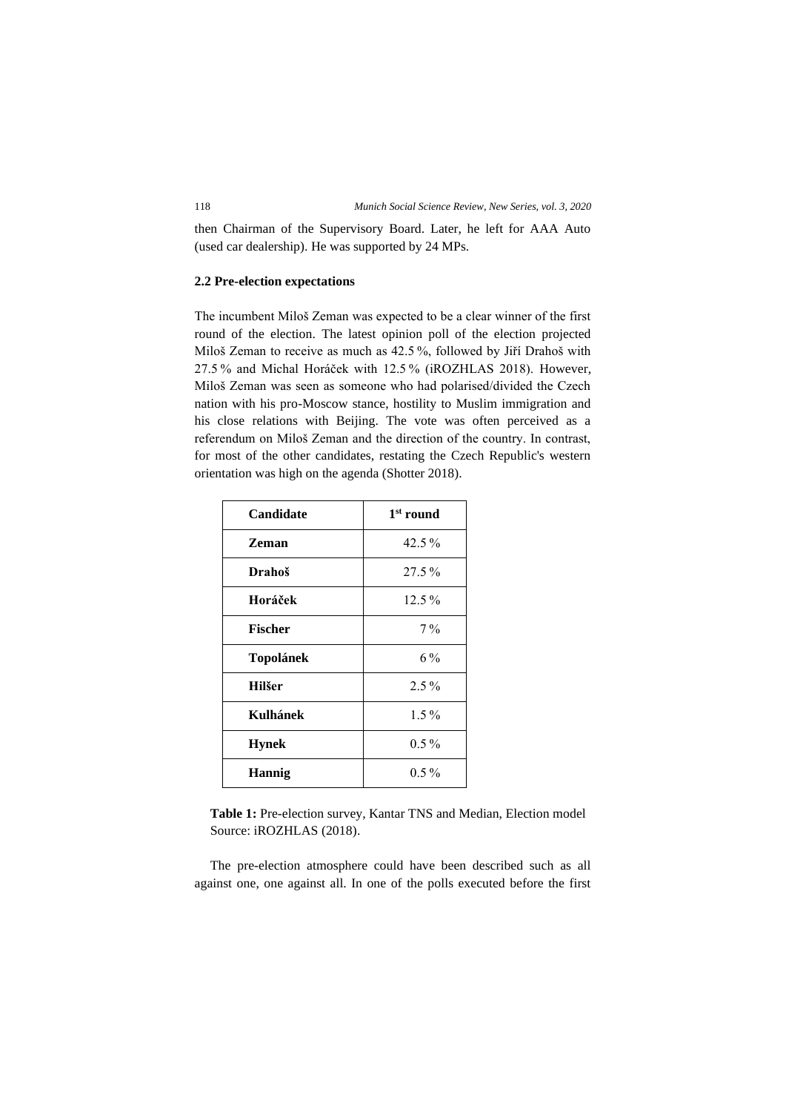then Chairman of the Supervisory Board. Later, he left for AAA Auto (used car dealership). He was supported by 24 MPs.

## **2.2 Pre-election expectations**

The incumbent Miloš Zeman was expected to be a clear winner of the first round of the election. The latest opinion poll of the election projected Miloš Zeman to receive as much as 42.5 %, followed by Jiří Drahoš with 27.5 % and Michal Horáček with 12.5 % (iROZHLAS 2018). However, Miloš Zeman was seen as someone who had polarised/divided the Czech nation with his pro-Moscow stance, hostility to Muslim immigration and his close relations with Beijing. The vote was often perceived as a referendum on Miloš Zeman and the direction of the country. In contrast, for most of the other candidates, restating the Czech Republic's western orientation was high on the agenda (Shotter 2018).

| Candidate        | 1 <sup>st</sup> round |
|------------------|-----------------------|
| <b>Zeman</b>     | $42.5\%$              |
| Drahoš           | $27.5\%$              |
| Horáček          | $12.5\%$              |
| <b>Fischer</b>   | $7\%$                 |
| <b>Topolánek</b> | 6 %                   |
| <b>Hilšer</b>    | $2.5\%$               |
| Kulhánek         | $1.5\%$               |
| <b>Hynek</b>     | $0.5\%$               |
| <b>Hannig</b>    | $0.5\%$               |

**Table 1:** Pre-election survey, Kantar TNS and Median, Election model Source: iROZHLAS (2018).

The pre-election atmosphere could have been described such as all against one, one against all. In one of the polls executed before the first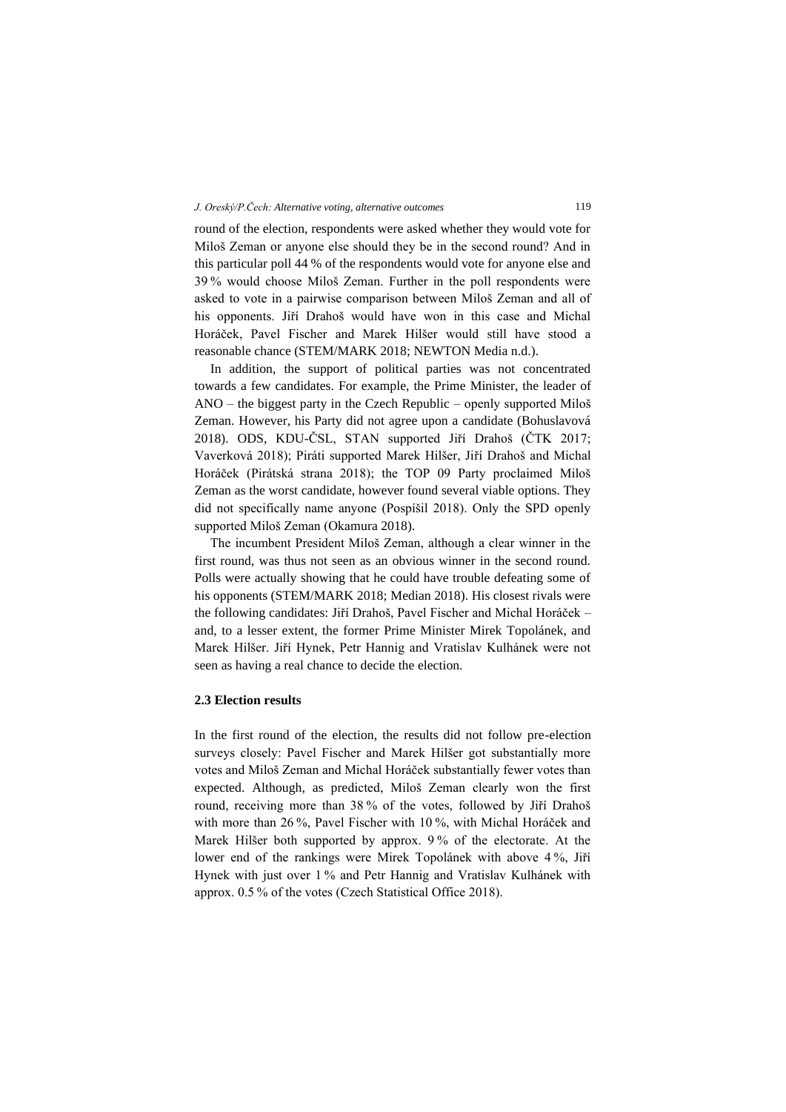round of the election, respondents were asked whether they would vote for Miloš Zeman or anyone else should they be in the second round? And in this particular poll 44 % of the respondents would vote for anyone else and 39 % would choose Miloš Zeman. Further in the poll respondents were asked to vote in a pairwise comparison between Miloš Zeman and all of his opponents. Jiří Drahoš would have won in this case and Michal Horáček, Pavel Fischer and Marek Hilšer would still have stood a reasonable chance (STEM/MARK 2018; NEWTON Media n.d.).

In addition, the support of political parties was not concentrated towards a few candidates. For example, the Prime Minister, the leader of ANO – the biggest party in the Czech Republic – openly supported Miloš Zeman. However, his Party did not agree upon a candidate (Bohuslavová 2018). ODS, KDU-ČSL, STAN supported Jiří Drahoš (ČTK 2017; Vaverková 2018); Piráti supported Marek Hilšer, Jiří Drahoš and Michal Horáček (Pirátská strana 2018); the TOP 09 Party proclaimed Miloš Zeman as the worst candidate, however found several viable options. They did not specifically name anyone (Pospíšil 2018). Only the SPD openly supported Miloš Zeman (Okamura 2018).

The incumbent President Miloš Zeman, although a clear winner in the first round, was thus not seen as an obvious winner in the second round. Polls were actually showing that he could have trouble defeating some of his opponents (STEM/MARK 2018; Median 2018). His closest rivals were the following candidates: Jiří Drahoš, Pavel Fischer and Michal Horáček – and, to a lesser extent, the former Prime Minister Mirek Topolánek, and Marek Hilšer. Jiří Hynek, Petr Hannig and Vratislav Kulhánek were not seen as having a real chance to decide the election.

## **2.3 Election results**

In the first round of the election, the results did not follow pre-election surveys closely: Pavel Fischer and Marek Hilšer got substantially more votes and Miloš Zeman and Michal Horáček substantially fewer votes than expected. Although, as predicted, Miloš Zeman clearly won the first round, receiving more than 38 % of the votes, followed by Jiří Drahoš with more than 26 %, Pavel Fischer with 10 %, with Michal Horáček and Marek Hilšer both supported by approx. 9 % of the electorate. At the lower end of the rankings were Mirek Topolánek with above 4 %, Jiří Hynek with just over 1 % and Petr Hannig and Vratislav Kulhánek with approx. 0.5 % of the votes (Czech Statistical Office 2018).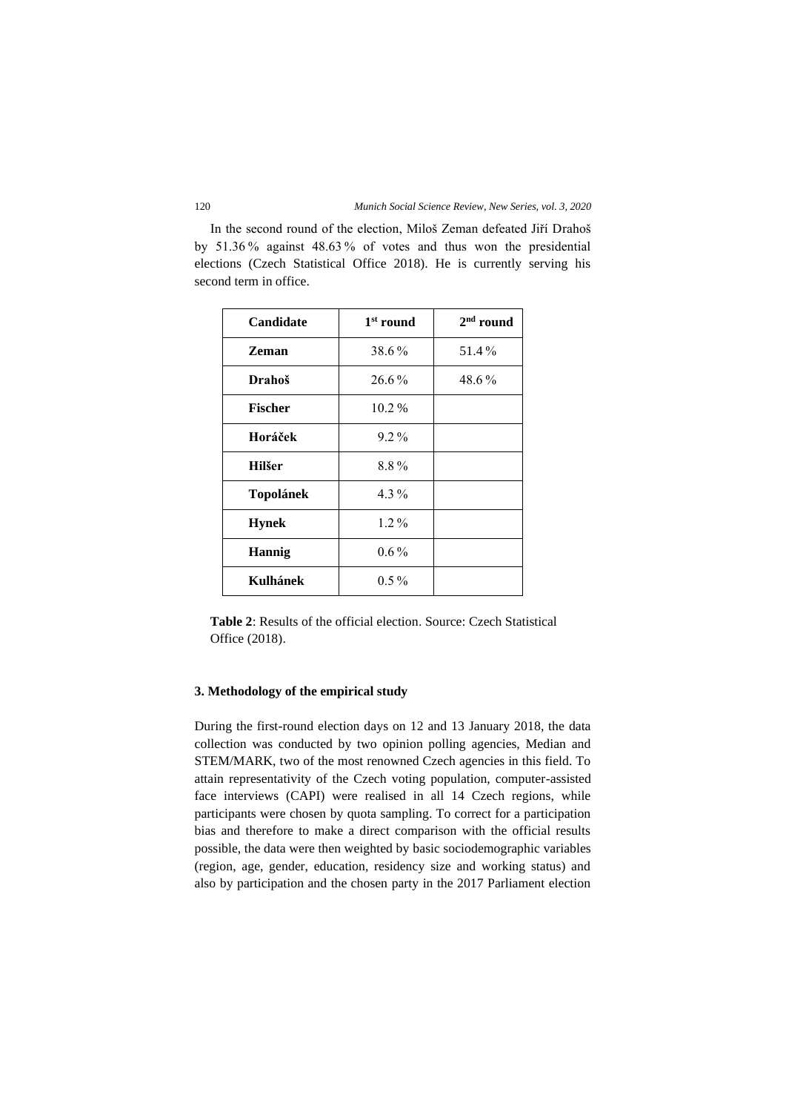In the second round of the election, Miloš Zeman defeated Jiří Drahoš by 51.36 % against 48.63 % of votes and thus won the presidential elections (Czech Statistical Office 2018). He is currently serving his second term in office.

| Candidate      | $1st$ round | $2nd$ round |
|----------------|-------------|-------------|
| Zeman          | 38.6%       | 51.4%       |
| Drahoš         | 26.6%       | 48.6%       |
| <b>Fischer</b> | 10.2%       |             |
| Horáček        | $9.2\%$     |             |
| Hilšer         | 8.8%        |             |
| Topolánek      | 4.3%        |             |
| <b>Hynek</b>   | $1.2\%$     |             |
| <b>Hannig</b>  | $0.6\%$     |             |
| Kulhánek       | $0.5\%$     |             |

**Table 2**: Results of the official election. Source: Czech Statistical Office (2018).

## **3. Methodology of the empirical study**

During the first-round election days on 12 and 13 January 2018, the data collection was conducted by two opinion polling agencies, Median and STEM/MARK, two of the most renowned Czech agencies in this field. To attain representativity of the Czech voting population, computer-assisted face interviews (CAPI) were realised in all 14 Czech regions, while participants were chosen by quota sampling. To correct for a participation bias and therefore to make a direct comparison with the official results possible, the data were then weighted by basic sociodemographic variables (region, age, gender, education, residency size and working status) and also by participation and the chosen party in the 2017 Parliament election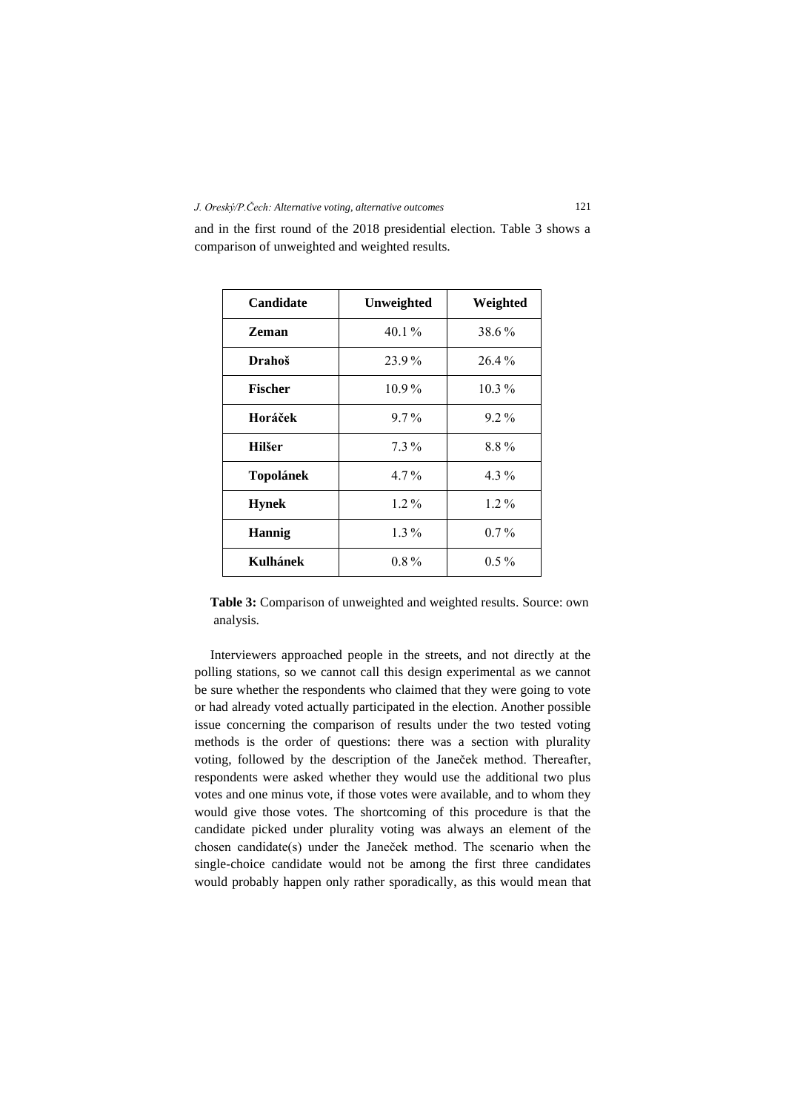| Candidate      | Unweighted | Weighted |
|----------------|------------|----------|
| <b>Zeman</b>   | $40.1\%$   | 38.6%    |
| Drahoš         | 23.9%      | $26.4\%$ |
| <b>Fischer</b> | $10.9\%$   | $10.3\%$ |
| Horáček        | $9.7\%$    | $9.2\%$  |
| <b>Hilšer</b>  | $7.3\%$    | 8.8%     |
| Topolánek      | $4.7\%$    | 4.3%     |
| <b>Hynek</b>   | $1.2\%$    | $1.2\%$  |
| <b>Hannig</b>  | $1.3\%$    | $0.7\%$  |
| Kulhánek       | $0.8\%$    | $0.5\%$  |

and in the first round of the 2018 presidential election. Table 3 shows a comparison of unweighted and weighted results.

Table 3: Comparison of unweighted and weighted results. Source: own analysis.

Interviewers approached people in the streets, and not directly at the polling stations, so we cannot call this design experimental as we cannot be sure whether the respondents who claimed that they were going to vote or had already voted actually participated in the election. Another possible issue concerning the comparison of results under the two tested voting methods is the order of questions: there was a section with plurality voting, followed by the description of the Janeček method. Thereafter, respondents were asked whether they would use the additional two plus votes and one minus vote, if those votes were available, and to whom they would give those votes. The shortcoming of this procedure is that the candidate picked under plurality voting was always an element of the chosen candidate(s) under the Janeček method. The scenario when the single-choice candidate would not be among the first three candidates would probably happen only rather sporadically, as this would mean that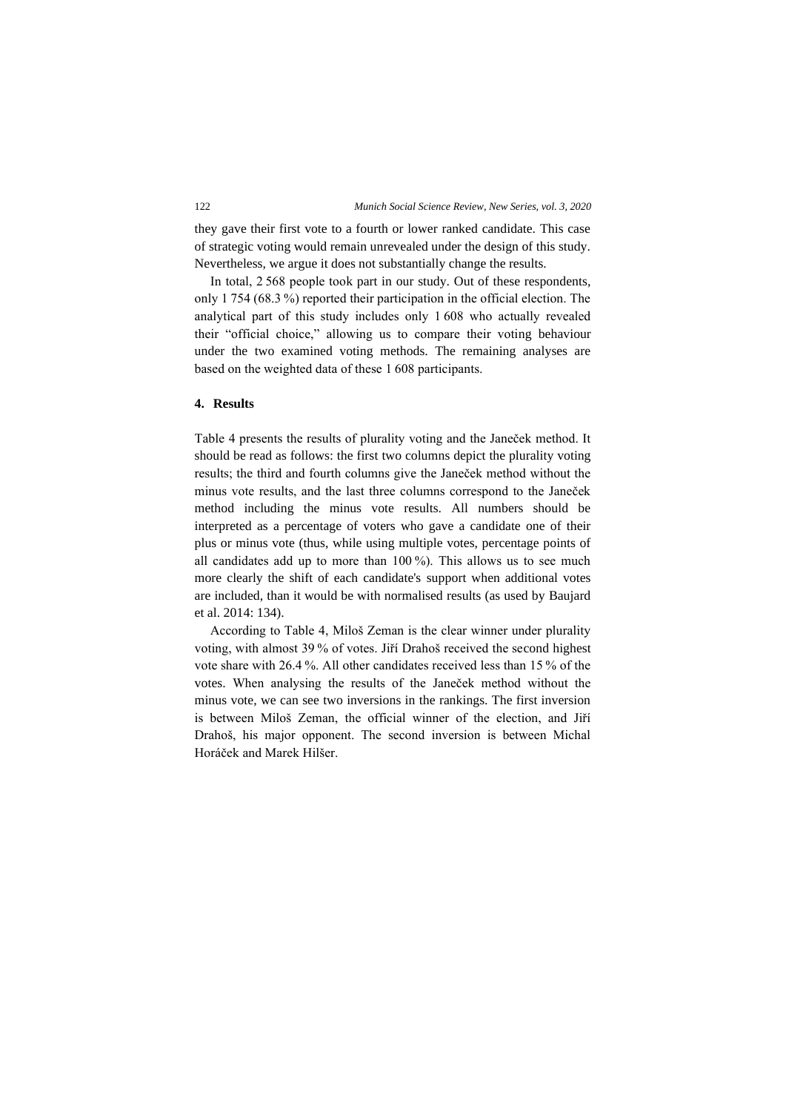they gave their first vote to a fourth or lower ranked candidate. This case of strategic voting would remain unrevealed under the design of this study. Nevertheless, we argue it does not substantially change the results.

In total, 2 568 people took part in our study. Out of these respondents, only 1 754 (68.3 %) reported their participation in the official election. The analytical part of this study includes only 1 608 who actually revealed their "official choice," allowing us to compare their voting behaviour under the two examined voting methods. The remaining analyses are based on the weighted data of these 1 608 participants.

## **4. Results**

Table 4 presents the results of plurality voting and the Janeček method. It should be read as follows: the first two columns depict the plurality voting results; the third and fourth columns give the Janeček method without the minus vote results, and the last three columns correspond to the Janeček method including the minus vote results. All numbers should be interpreted as a percentage of voters who gave a candidate one of their plus or minus vote (thus, while using multiple votes, percentage points of all candidates add up to more than 100 %). This allows us to see much more clearly the shift of each candidate's support when additional votes are included, than it would be with normalised results (as used by Baujard et al. 2014: 134).

According to Table 4, Miloš Zeman is the clear winner under plurality voting, with almost 39 % of votes. Jiří Drahoš received the second highest vote share with 26.4 %. All other candidates received less than 15 % of the votes. When analysing the results of the Janeček method without the minus vote, we can see two inversions in the rankings. The first inversion is between Miloš Zeman, the official winner of the election, and Jiří Drahoš, his major opponent. The second inversion is between Michal Horáček and Marek Hilšer.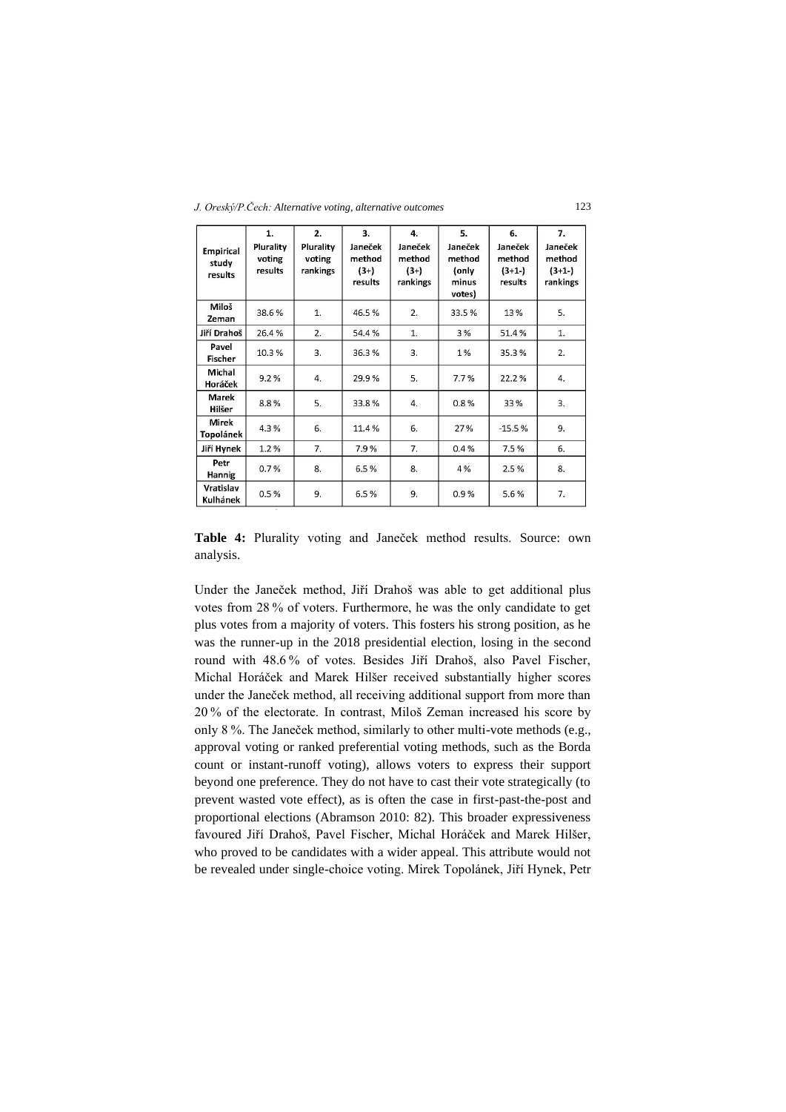*J. Oreský/P.Čech: Alternative voting, alternative outcomes* 123

| <b>Empirical</b><br>study<br>results | 1.<br>Plurality<br>voting<br>results | 2.<br>Plurality<br>voting<br>rankings | 3.<br>Janeček<br>method<br>$(3+)$<br>results | 4.<br>Janeček<br>method<br>$(3+)$<br>rankings | 5.<br>Janeček<br>method<br>(only<br>minus<br>votes) | 6.<br>Janeček<br>method<br>$(3+1-)$<br>results | 7.<br>Janeček<br>method<br>$(3+1-)$<br>rankings |
|--------------------------------------|--------------------------------------|---------------------------------------|----------------------------------------------|-----------------------------------------------|-----------------------------------------------------|------------------------------------------------|-------------------------------------------------|
| Miloš<br>Zeman                       | 38.6%                                | 1.                                    | 46.5%                                        | 2.                                            | 33.5%                                               | 13%                                            | 5.                                              |
| Jiří Drahoš                          | 26.4%                                | 2.                                    | 54.4%                                        | 1.                                            | 3%                                                  | 51.4%                                          | 1.                                              |
| Pavel<br>Fischer                     | 10.3%                                | 3.                                    | 36.3%                                        | 3.                                            | 1%                                                  | 35.3%                                          | 2.                                              |
| Michal<br>Horáček                    | 9.2%                                 | 4.                                    | 29.9%                                        | 5.                                            | 7.7%                                                | 22.2%                                          | 4.                                              |
| Marek<br>Hilšer                      | 8.8%                                 | 5.                                    | 33.8%                                        | 4.                                            | 0.8%                                                | 33%                                            | 3.                                              |
| Mirek<br>Topolánek                   | 4.3%                                 | 6.                                    | 11.4%                                        | 6.                                            | 27%                                                 | $-15.5%$                                       | 9.                                              |
| Jiří Hynek                           | 1.2%                                 | 7.                                    | 7.9%                                         | 7.                                            | 0.4%                                                | 7.5%                                           | 6.                                              |
| Petr<br>Hannig                       | 0.7%                                 | 8.                                    | 6.5%                                         | 8.                                            | 4%                                                  | 2.5%                                           | 8.                                              |
| Vratislav<br>Kulhánek                | 0.5%                                 | 9.                                    | 6.5%                                         | 9.                                            | 0.9%                                                | 5.6%                                           | 7.                                              |

**Table 4:** Plurality voting and Janeček method results. Source: own analysis.

Under the Janeček method, Jiří Drahoš was able to get additional plus votes from 28 % of voters. Furthermore, he was the only candidate to get plus votes from a majority of voters. This fosters his strong position, as he was the runner-up in the 2018 presidential election, losing in the second round with 48.6 % of votes. Besides Jiří Drahoš, also Pavel Fischer, Michal Horáček and Marek Hilšer received substantially higher scores under the Janeček method, all receiving additional support from more than 20 % of the electorate. In contrast, Miloš Zeman increased his score by only 8 %. The Janeček method, similarly to other multi-vote methods (e.g., approval voting or ranked preferential voting methods, such as the Borda count or instant-runoff voting), allows voters to express their support beyond one preference. They do not have to cast their vote strategically (to prevent wasted vote effect), as is often the case in first-past-the-post and proportional elections (Abramson 2010: 82). This broader expressiveness favoured Jiří Drahoš, Pavel Fischer, Michal Horáček and Marek Hilšer, who proved to be candidates with a wider appeal. This attribute would not be revealed under single-choice voting. Mirek Topolánek, Jiří Hynek, Petr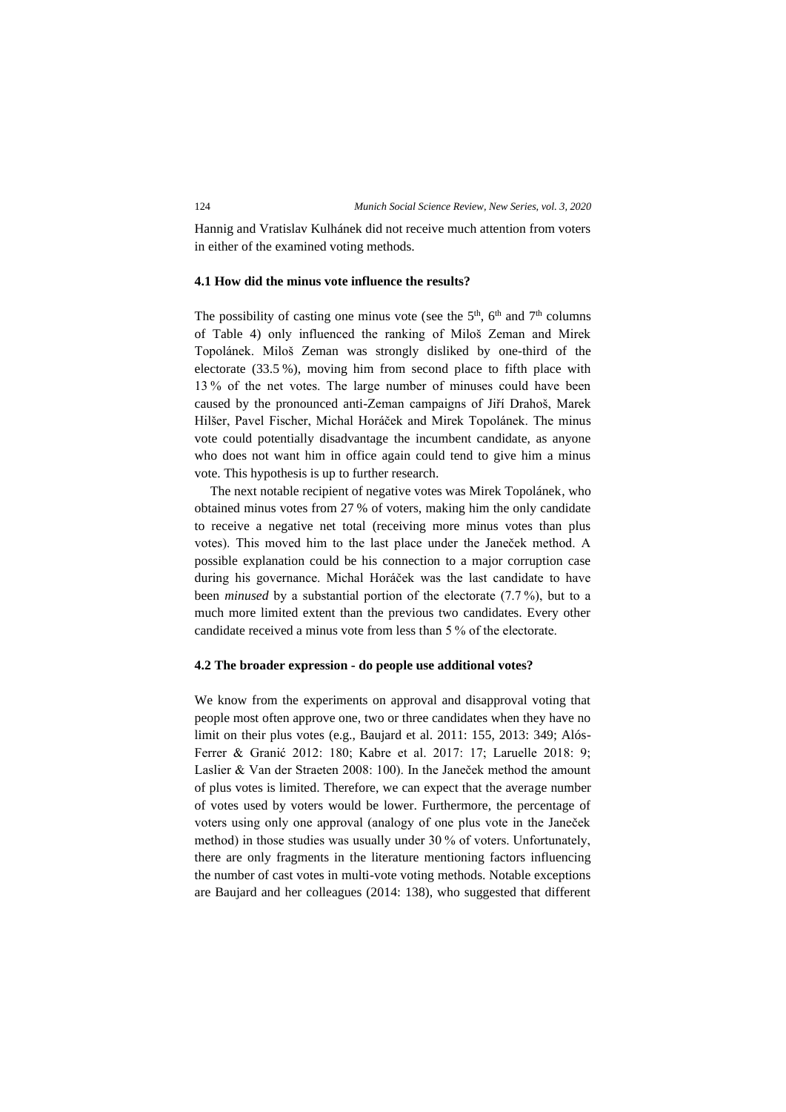Hannig and Vratislav Kulhánek did not receive much attention from voters in either of the examined voting methods.

## **4.1 How did the minus vote influence the results?**

The possibility of casting one minus vote (see the  $5<sup>th</sup>$ ,  $6<sup>th</sup>$  and  $7<sup>th</sup>$  columns of Table 4) only influenced the ranking of Miloš Zeman and Mirek Topolánek. Miloš Zeman was strongly disliked by one-third of the electorate (33.5 %), moving him from second place to fifth place with 13 % of the net votes. The large number of minuses could have been caused by the pronounced anti-Zeman campaigns of Jiří Drahoš, Marek Hilšer, Pavel Fischer, Michal Horáček and Mirek Topolánek. The minus vote could potentially disadvantage the incumbent candidate, as anyone who does not want him in office again could tend to give him a minus vote. This hypothesis is up to further research.

The next notable recipient of negative votes was Mirek Topolánek, who obtained minus votes from 27 % of voters, making him the only candidate to receive a negative net total (receiving more minus votes than plus votes). This moved him to the last place under the Janeček method. A possible explanation could be his connection to a major corruption case during his governance. Michal Horáček was the last candidate to have been *minused* by a substantial portion of the electorate (7.7 %), but to a much more limited extent than the previous two candidates. Every other candidate received a minus vote from less than 5 % of the electorate.

#### **4.2 The broader expression - do people use additional votes?**

We know from the experiments on approval and disapproval voting that people most often approve one, two or three candidates when they have no limit on their plus votes (e.g., Baujard et al. 2011: 155, 2013: 349; Alós-Ferrer & Granić 2012: 180; Kabre et al. 2017: 17; Laruelle 2018: 9; Laslier & Van der Straeten 2008: 100). In the Janeček method the amount of plus votes is limited. Therefore, we can expect that the average number of votes used by voters would be lower. Furthermore, the percentage of voters using only one approval (analogy of one plus vote in the Janeček method) in those studies was usually under 30 % of voters. Unfortunately, there are only fragments in the literature mentioning factors influencing the number of cast votes in multi-vote voting methods. Notable exceptions are Baujard and her colleagues (2014: 138), who suggested that different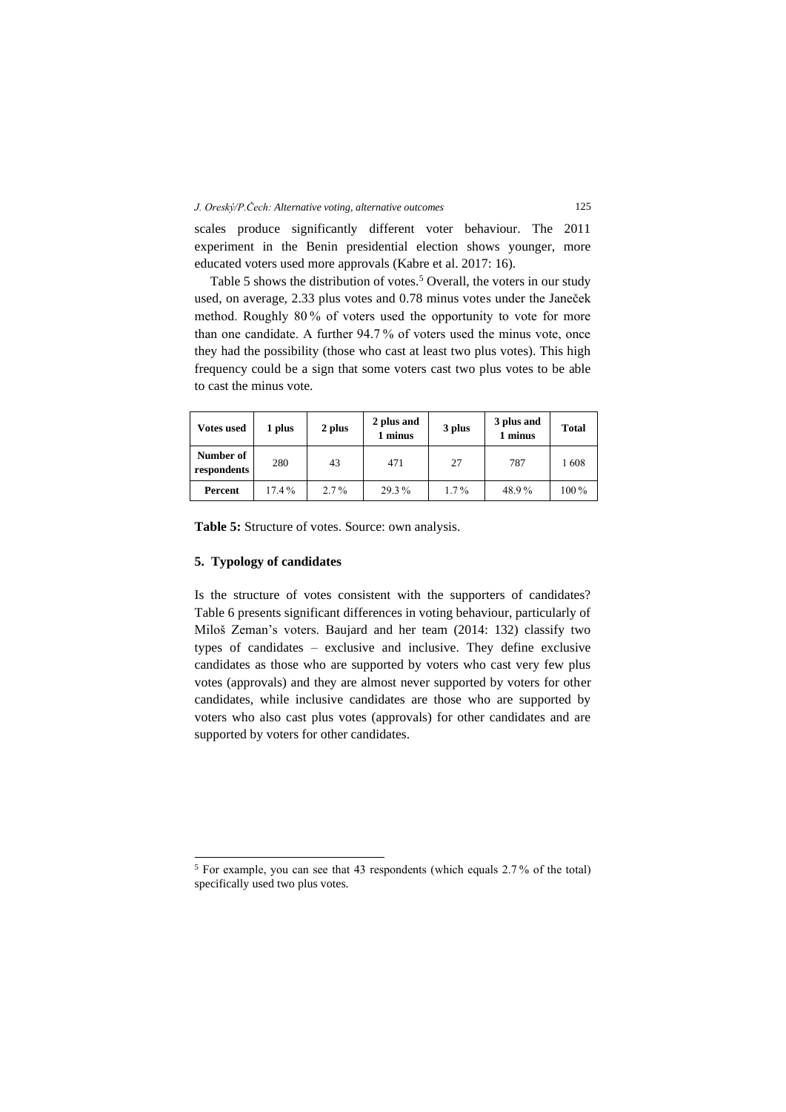scales produce significantly different voter behaviour. The 2011 experiment in the Benin presidential election shows younger, more educated voters used more approvals (Kabre et al. 2017: 16).

Table 5 shows the distribution of votes.<sup>5</sup> Overall, the voters in our study used, on average, 2.33 plus votes and 0.78 minus votes under the Janeček method. Roughly 80 % of voters used the opportunity to vote for more than one candidate. A further 94.7 % of voters used the minus vote, once they had the possibility (those who cast at least two plus votes). This high frequency could be a sign that some voters cast two plus votes to be able to cast the minus vote.

| <b>Votes used</b>        | 1 plus   | 2 plus  | 2 plus and<br>1 minus | 3 plus  | 3 plus and<br>1 minus | <b>Total</b> |
|--------------------------|----------|---------|-----------------------|---------|-----------------------|--------------|
| Number of<br>respondents | 280      | 43      | 471                   | 27      | 787                   | 1608         |
| Percent                  | $17.4\%$ | $2.7\%$ | 29.3%                 | $1.7\%$ | 48.9%                 | $100\%$      |

**Table 5:** Structure of votes. Source: own analysis.

## **5. Typology of candidates**

Is the structure of votes consistent with the supporters of candidates? Table 6 presents significant differences in voting behaviour, particularly of Miloš Zeman's voters. Baujard and her team (2014: 132) classify two types of candidates – exclusive and inclusive. They define exclusive candidates as those who are supported by voters who cast very few plus votes (approvals) and they are almost never supported by voters for other candidates, while inclusive candidates are those who are supported by voters who also cast plus votes (approvals) for other candidates and are supported by voters for other candidates.

<sup>5</sup> For example, you can see that 43 respondents (which equals 2.7 % of the total) specifically used two plus votes.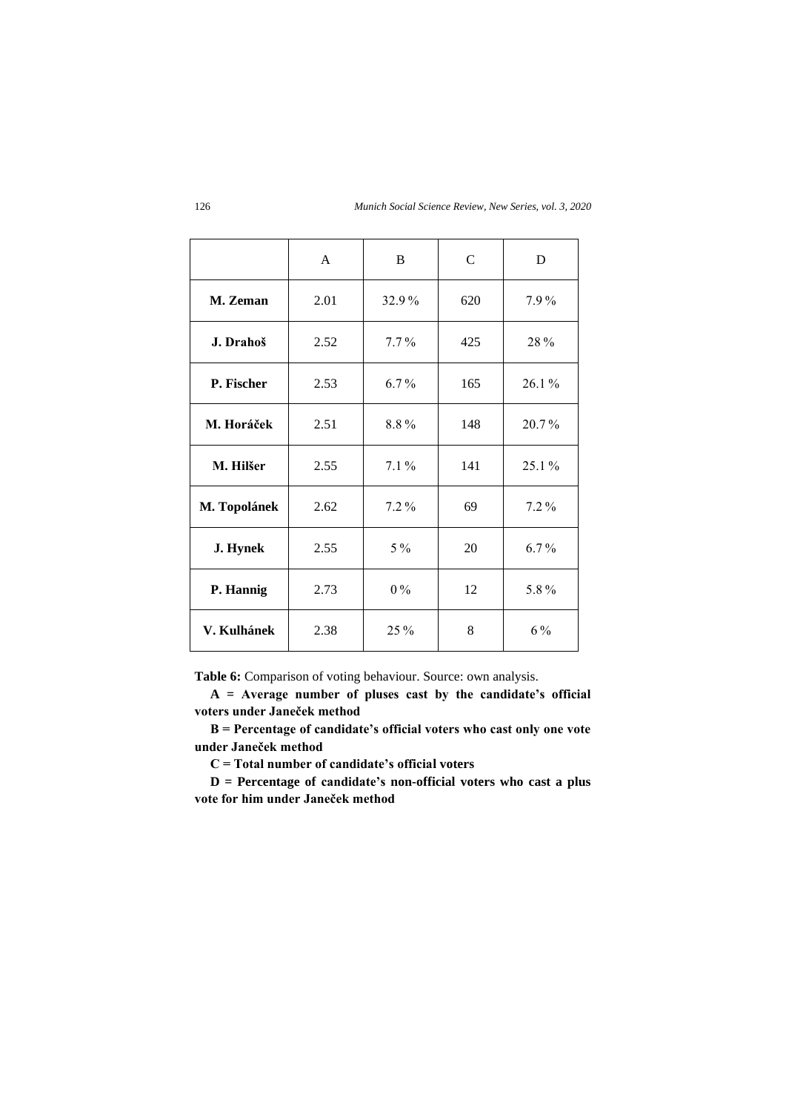|              | A    | B       | $\mathcal{C}$ | D       |
|--------------|------|---------|---------------|---------|
| M. Zeman     | 2.01 | 32.9%   | 620           | 7.9%    |
| J. Drahoš    | 2.52 | $7.7\%$ | 425           | 28%     |
| P. Fischer   | 2.53 | $6.7\%$ | 165           | 26.1%   |
| M. Horáček   | 2.51 | 8.8%    | 148           | 20.7%   |
| M. Hilšer    | 2.55 | $7.1\%$ | 141           | 25.1 %  |
| M. Topolánek | 2.62 | $7.2\%$ | 69            | $7.2\%$ |
| J. Hynek     | 2.55 | $5\%$   | 20            | $6.7\%$ |
| P. Hannig    | 2.73 | $0\%$   | 12            | 5.8%    |
| V. Kulhánek  | 2.38 | 25 %    | 8             | $6\,\%$ |

**Table 6:** Comparison of voting behaviour. Source: own analysis.

**A = Average number of pluses cast by the candidate's official voters under Janeček method**

**B = Percentage of candidate's official voters who cast only one vote under Janeček method**

**C = Total number of candidate's official voters**

**D = Percentage of candidate's non-official voters who cast a plus vote for him under Janeček method**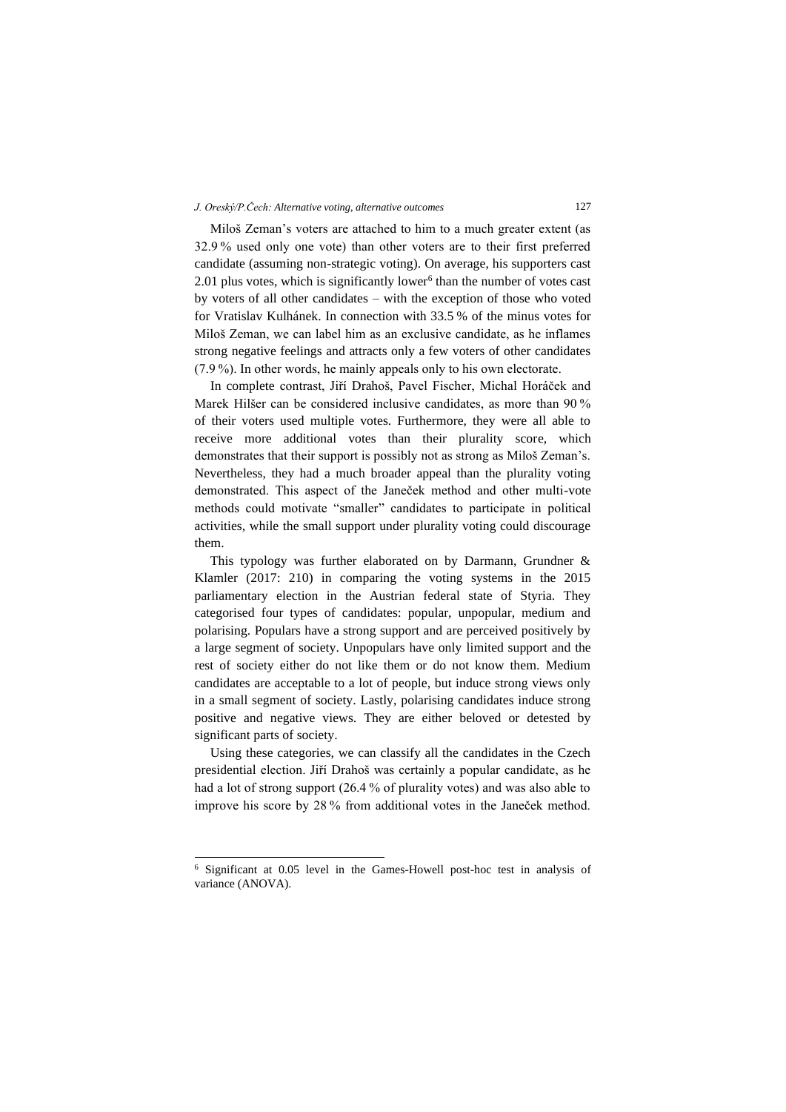Miloš Zeman's voters are attached to him to a much greater extent (as 32.9 % used only one vote) than other voters are to their first preferred candidate (assuming non-strategic voting). On average, his supporters cast  $2.01$  plus votes, which is significantly lower<sup>6</sup> than the number of votes cast by voters of all other candidates – with the exception of those who voted for Vratislav Kulhánek. In connection with 33.5 % of the minus votes for Miloš Zeman, we can label him as an exclusive candidate, as he inflames strong negative feelings and attracts only a few voters of other candidates (7.9 %). In other words, he mainly appeals only to his own electorate.

In complete contrast, Jiří Drahoš, Pavel Fischer, Michal Horáček and Marek Hilšer can be considered inclusive candidates, as more than 90 % of their voters used multiple votes. Furthermore, they were all able to receive more additional votes than their plurality score, which demonstrates that their support is possibly not as strong as Miloš Zeman's. Nevertheless, they had a much broader appeal than the plurality voting demonstrated. This aspect of the Janeček method and other multi-vote methods could motivate "smaller" candidates to participate in political activities, while the small support under plurality voting could discourage them.

This typology was further elaborated on by Darmann, Grundner & Klamler (2017: 210) in comparing the voting systems in the 2015 parliamentary election in the Austrian federal state of Styria. They categorised four types of candidates: popular, unpopular, medium and polarising. Populars have a strong support and are perceived positively by a large segment of society. Unpopulars have only limited support and the rest of society either do not like them or do not know them. Medium candidates are acceptable to a lot of people, but induce strong views only in a small segment of society. Lastly, polarising candidates induce strong positive and negative views. They are either beloved or detested by significant parts of society.

Using these categories, we can classify all the candidates in the Czech presidential election. Jiří Drahoš was certainly a popular candidate, as he had a lot of strong support (26.4 % of plurality votes) and was also able to improve his score by 28 % from additional votes in the Janeček method.

<sup>6</sup> Significant at 0.05 level in the Games-Howell post-hoc test in analysis of variance (ANOVA).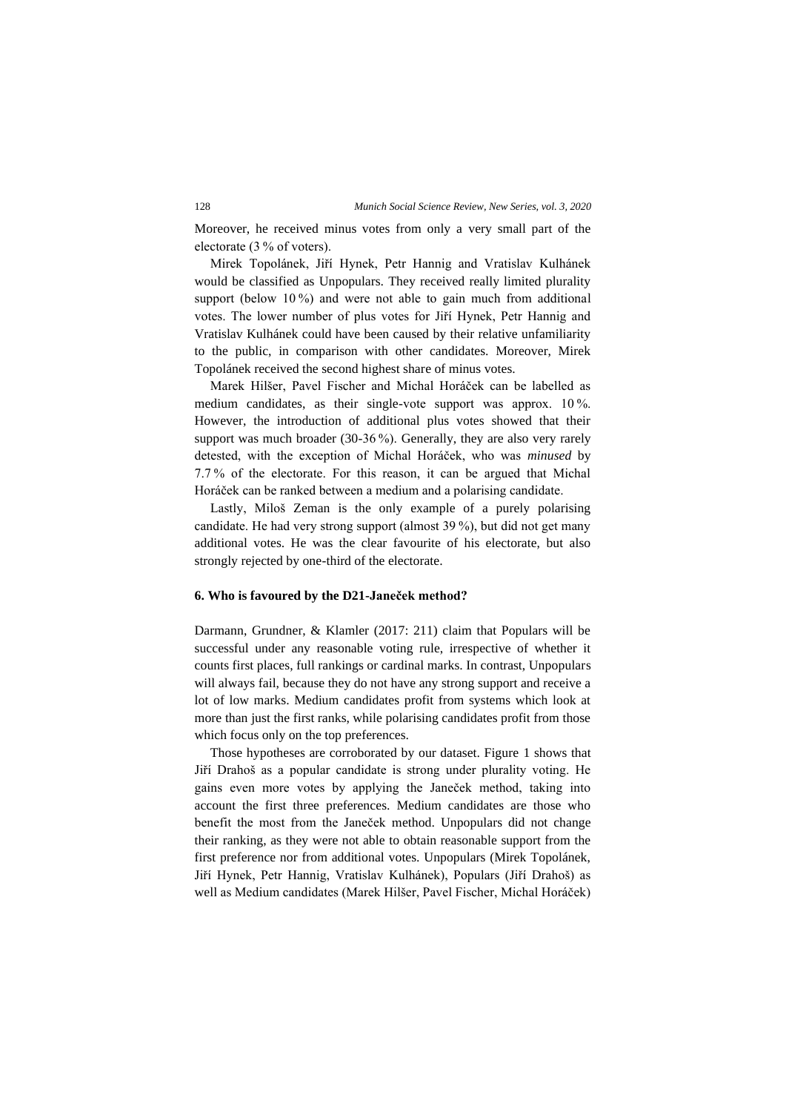Moreover, he received minus votes from only a very small part of the electorate (3 % of voters).

Mirek Topolánek, Jiří Hynek, Petr Hannig and Vratislav Kulhánek would be classified as Unpopulars. They received really limited plurality support (below 10<sup>%</sup>) and were not able to gain much from additional votes. The lower number of plus votes for Jiří Hynek, Petr Hannig and Vratislav Kulhánek could have been caused by their relative unfamiliarity to the public, in comparison with other candidates. Moreover, Mirek Topolánek received the second highest share of minus votes.

Marek Hilšer, Pavel Fischer and Michal Horáček can be labelled as medium candidates, as their single-vote support was approx. 10 %. However, the introduction of additional plus votes showed that their support was much broader (30-36 %). Generally, they are also very rarely detested, with the exception of Michal Horáček, who was *minused* by 7.7 % of the electorate. For this reason, it can be argued that Michal Horáček can be ranked between a medium and a polarising candidate.

Lastly, Miloš Zeman is the only example of a purely polarising candidate. He had very strong support (almost 39 %), but did not get many additional votes. He was the clear favourite of his electorate, but also strongly rejected by one-third of the electorate.

#### **6. Who is favoured by the D21-Janeček method?**

Darmann, Grundner, & Klamler (2017: 211) claim that Populars will be successful under any reasonable voting rule, irrespective of whether it counts first places, full rankings or cardinal marks. In contrast, Unpopulars will always fail, because they do not have any strong support and receive a lot of low marks. Medium candidates profit from systems which look at more than just the first ranks, while polarising candidates profit from those which focus only on the top preferences.

Those hypotheses are corroborated by our dataset. Figure 1 shows that Jiří Drahoš as a popular candidate is strong under plurality voting. He gains even more votes by applying the Janeček method, taking into account the first three preferences. Medium candidates are those who benefit the most from the Janeček method. Unpopulars did not change their ranking, as they were not able to obtain reasonable support from the first preference nor from additional votes. Unpopulars (Mirek Topolánek, Jiří Hynek, Petr Hannig, Vratislav Kulhánek), Populars (Jiří Drahoš) as well as Medium candidates (Marek Hilšer, Pavel Fischer, Michal Horáček)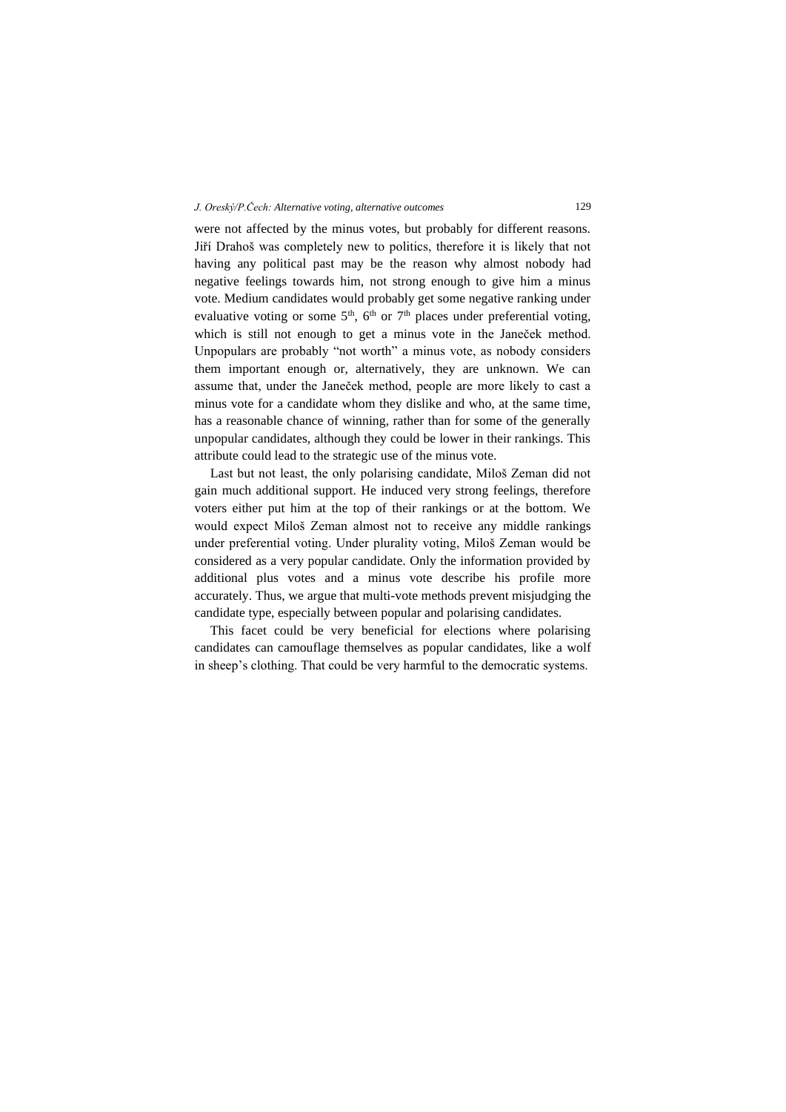were not affected by the minus votes, but probably for different reasons. Jiří Drahoš was completely new to politics, therefore it is likely that not having any political past may be the reason why almost nobody had negative feelings towards him, not strong enough to give him a minus vote. Medium candidates would probably get some negative ranking under evaluative voting or some  $5<sup>th</sup>$ ,  $6<sup>th</sup>$  or  $7<sup>th</sup>$  places under preferential voting, which is still not enough to get a minus vote in the Janeček method. Unpopulars are probably "not worth" a minus vote, as nobody considers them important enough or, alternatively, they are unknown. We can assume that, under the Janeček method, people are more likely to cast a minus vote for a candidate whom they dislike and who, at the same time, has a reasonable chance of winning, rather than for some of the generally unpopular candidates, although they could be lower in their rankings. This attribute could lead to the strategic use of the minus vote.

Last but not least, the only polarising candidate, Miloš Zeman did not gain much additional support. He induced very strong feelings, therefore voters either put him at the top of their rankings or at the bottom. We would expect Miloš Zeman almost not to receive any middle rankings under preferential voting. Under plurality voting, Miloš Zeman would be considered as a very popular candidate. Only the information provided by additional plus votes and a minus vote describe his profile more accurately. Thus, we argue that multi-vote methods prevent misjudging the candidate type, especially between popular and polarising candidates.

This facet could be very beneficial for elections where polarising candidates can camouflage themselves as popular candidates, like a wolf in sheep's clothing. That could be very harmful to the democratic systems.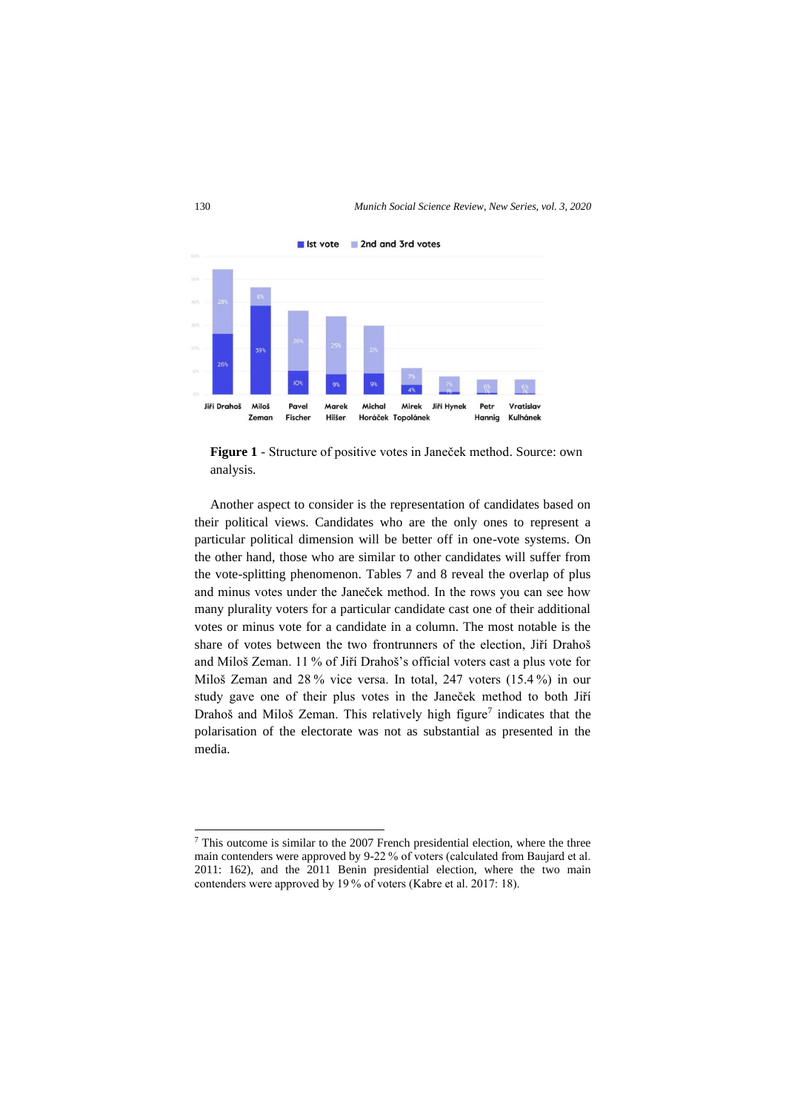

**Figure 1** - Structure of positive votes in Janeček method. Source: own analysis.

Another aspect to consider is the representation of candidates based on their political views. Candidates who are the only ones to represent a particular political dimension will be better off in one-vote systems. On the other hand, those who are similar to other candidates will suffer from the vote-splitting phenomenon. Tables 7 and 8 reveal the overlap of plus and minus votes under the Janeček method. In the rows you can see how many plurality voters for a particular candidate cast one of their additional votes or minus vote for a candidate in a column. The most notable is the share of votes between the two frontrunners of the election, Jiří Drahoš and Miloš Zeman. 11 % of Jiří Drahoš's official voters cast a plus vote for Miloš Zeman and 28 % vice versa. In total, 247 voters (15.4 %) in our study gave one of their plus votes in the Janeček method to both Jiří Drahoš and Miloš Zeman. This relatively high figure<sup>7</sup> indicates that the polarisation of the electorate was not as substantial as presented in the media.

<sup>7</sup> This outcome is similar to the 2007 French presidential election, where the three main contenders were approved by 9-22 % of voters (calculated from Baujard et al. 2011: 162), and the 2011 Benin presidential election, where the two main contenders were approved by 19 % of voters (Kabre et al. 2017: 18).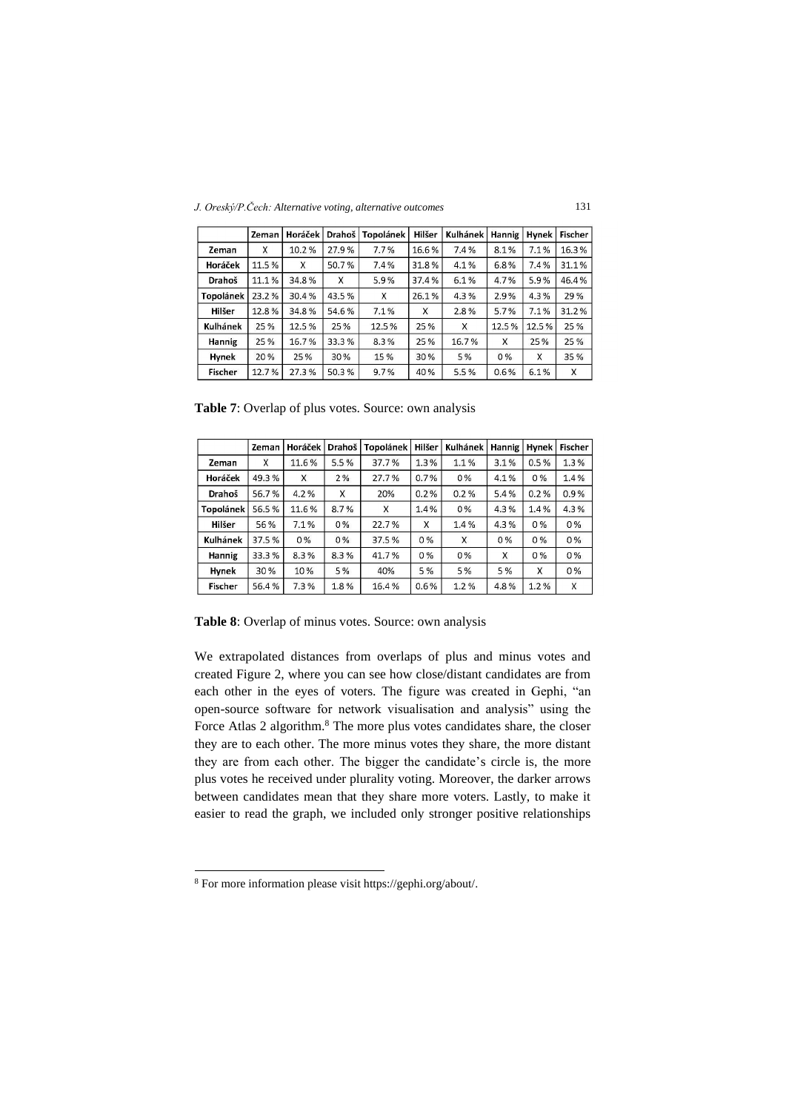*J. Oreský/P.Čech: Alternative voting, alternative outcomes* 131

|                  | Zeman | Horáček | Drahoš l | <b>Topolánek</b> | Hilšer | Kulhánek | Hannig | Hynek | <b>Fischer</b> |
|------------------|-------|---------|----------|------------------|--------|----------|--------|-------|----------------|
| Zeman            | X     | 10.2%   | 27.9%    | 7.7%             | 16.6%  | 7.4%     | 8.1%   | 7.1%  | 16.3%          |
| Horáček          | 11.5% | X       | 50.7%    | 7.4%             | 31.8%  | 4.1%     | 6.8%   | 7.4%  | 31.1%          |
| Drahoš           | 11.1% | 34.8%   | X        | 5.9%             | 37.4%  | 6.1%     | 4.7%   | 5.9%  | 46.4%          |
| <b>Topolánek</b> | 23.2% | 30.4%   | 43.5%    | X                | 26.1%  | 4.3%     | 2.9%   | 4.3%  | 29 %           |
| Hilšer           | 12.8% | 34.8%   | 54.6%    | 7.1%             | X      | 2.8%     | 5.7%   | 7.1%  | 31.2%          |
| Kulhánek         | 25 %  | 12.5 %  | 25 %     | 12.5%            | 25 %   | X        | 12.5%  | 12.5% | 25 %           |
| Hannig           | 25%   | 16.7%   | 33.3%    | 8.3%             | 25%    | 16.7%    | x      | 25 %  | 25 %           |
| Hynek            | 20 %  | 25%     | 30%      | 15%              | 30%    | 5%       | $0\%$  | X     | 35 %           |
| <b>Fischer</b>   | 12.7% | 27.3%   | 50.3%    | 9.7%             | 40%    | 5.5%     | 0.6%   | 6.1%  | X              |

Table 7: Overlap of plus votes. Source: own analysis

|                  | Zeman | Horáček | Drahoš | <b>Topolánek</b> | Hilšer | Kulhánek | Hannig | <b>Hynek</b> | <b>Fischer</b> |
|------------------|-------|---------|--------|------------------|--------|----------|--------|--------------|----------------|
| Zeman            | X     | 11.6%   | 5.5%   | 37.7%            | 1.3%   | 1.1%     | 3.1%   | 0.5%         | 1.3%           |
| Horáček          | 49.3% | X       | 2%     | 27.7%            | 0.7%   | $0\%$    | 4.1%   | $0\%$        | 1.4%           |
| Drahoš           | 56.7% | 4.2%    | Χ      | 20%              | 0.2%   | 0.2%     | 5.4%   | 0.2%         | 0.9%           |
| <b>Topolánek</b> | 56.5% | 11.6%   | 8.7%   | X                | 1.4%   | 0%       | 4.3%   | 1.4%         | 4.3%           |
| Hilšer           | 56%   | 7.1%    | $0\%$  | 22.7%            | X      | 1.4%     | 4.3%   | $0\%$        | $0\%$          |
| Kulhánek         | 37.5% | $0\%$   | $0\%$  | 37.5%            | 0%     | X        | $0\%$  | $0\%$        | $0\%$          |
| Hannig           | 33.3% | 8.3%    | 8.3%   | 41.7%            | 0%     | 0%       | X      | 0%           | $0\%$          |
| Hynek            | 30%   | 10%     | 5%     | 40%              | 5 %    | 5 %      | 5 %    | X            | $0\%$          |
| <b>Fischer</b>   | 56.4% | 7.3%    | 18%    | 16.4%            | 0.6%   | 1.2%     | 4.8%   | 1.2%         | X              |

**Table 8**: Overlap of minus votes. Source: own analysis

We extrapolated distances from overlaps of plus and minus votes and created Figure 2, where you can see how close/distant candidates are from each other in the eyes of voters. The figure was created in Gephi, "an open-source software for network visualisation and analysis" using the Force Atlas 2 algorithm.<sup>8</sup> The more plus votes candidates share, the closer they are to each other. The more minus votes they share, the more distant they are from each other. The bigger the candidate's circle is, the more plus votes he received under plurality voting. Moreover, the darker arrows between candidates mean that they share more voters. Lastly, to make it easier to read the graph, we included only stronger positive relationships

<sup>8</sup> For more information please visi[t https://gephi.org/about/.](https://gephi.org/about/)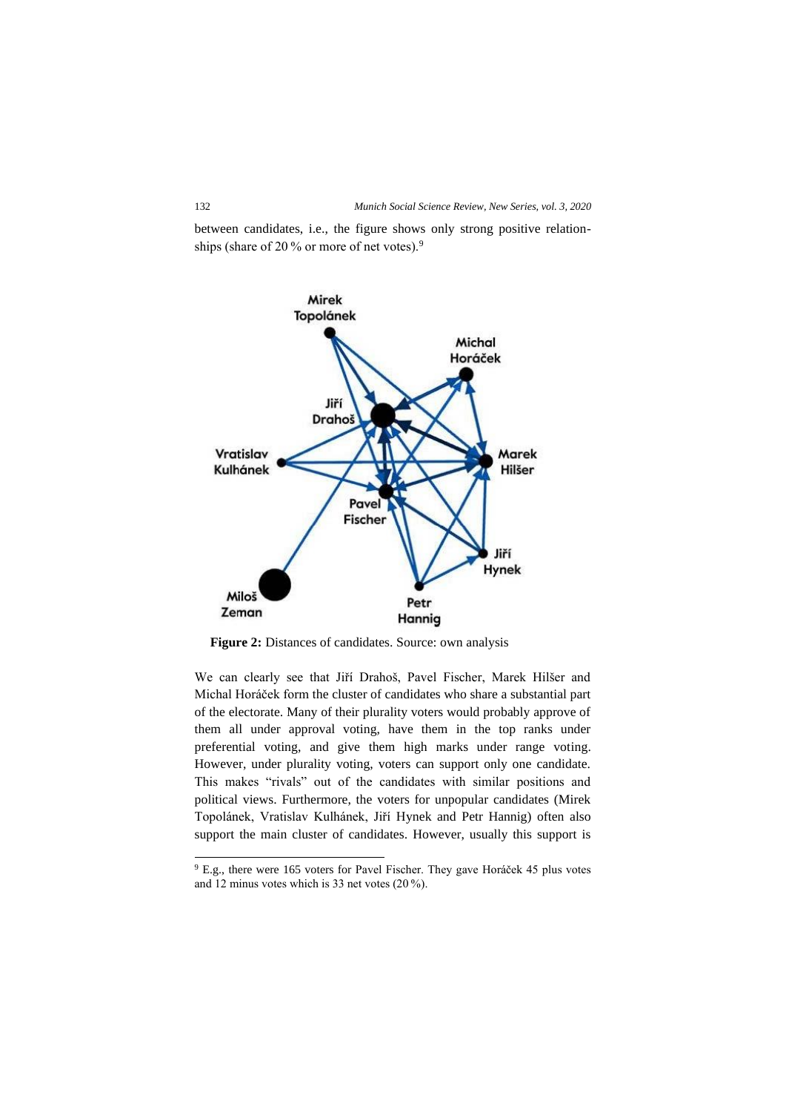between candidates, i.e., the figure shows only strong positive relationships (share of 20 % or more of net votes).<sup>9</sup>



**Figure 2:** Distances of candidates. Source: own analysis

We can clearly see that Jiří Drahoš, Pavel Fischer, Marek Hilšer and Michal Horáček form the cluster of candidates who share a substantial part of the electorate. Many of their plurality voters would probably approve of them all under approval voting, have them in the top ranks under preferential voting, and give them high marks under range voting. However, under plurality voting, voters can support only one candidate. This makes "rivals" out of the candidates with similar positions and political views. Furthermore, the voters for unpopular candidates (Mirek Topolánek, Vratislav Kulhánek, Jiří Hynek and Petr Hannig) often also support the main cluster of candidates. However, usually this support is

<sup>&</sup>lt;sup>9</sup> E.g., there were 165 voters for Pavel Fischer. They gave Horáček 45 plus votes and 12 minus votes which is 33 net votes (20 %).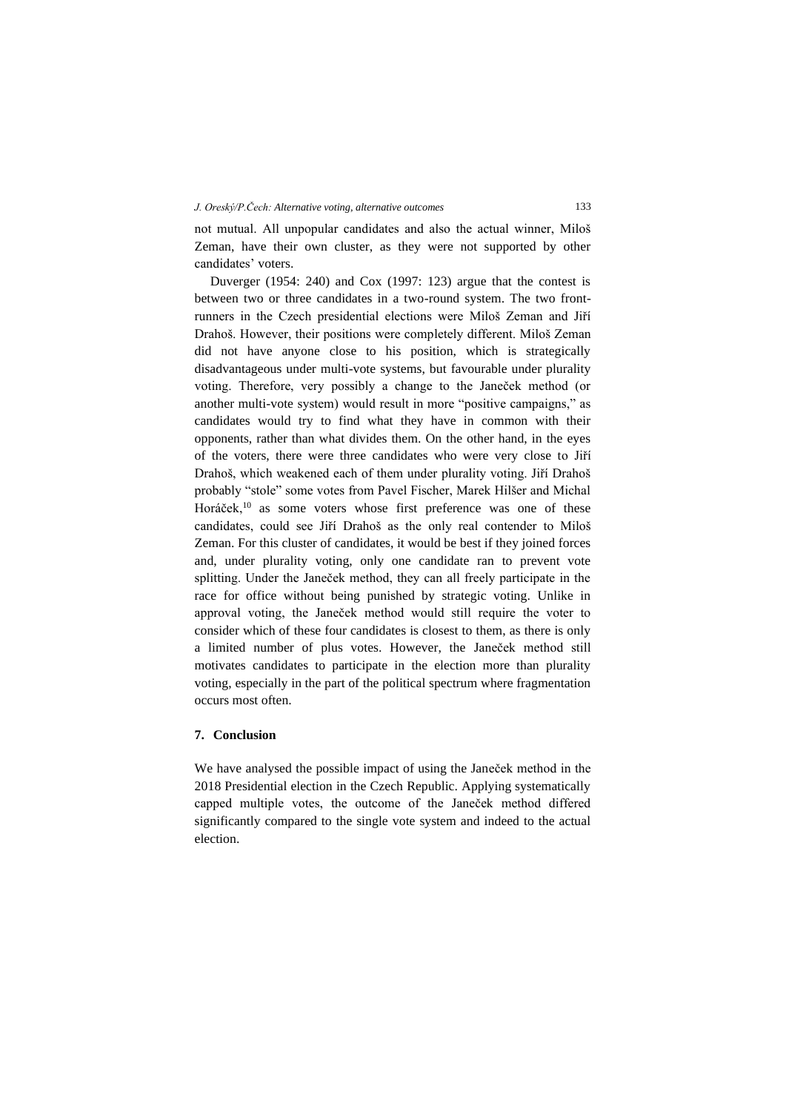not mutual. All unpopular candidates and also the actual winner, Miloš Zeman, have their own cluster, as they were not supported by other candidates' voters.

Duverger (1954: 240) and Cox (1997: 123) argue that the contest is between two or three candidates in a two-round system. The two frontrunners in the Czech presidential elections were Miloš Zeman and Jiří Drahoš. However, their positions were completely different. Miloš Zeman did not have anyone close to his position, which is strategically disadvantageous under multi-vote systems, but favourable under plurality voting. Therefore, very possibly a change to the Janeček method (or another multi-vote system) would result in more "positive campaigns," as candidates would try to find what they have in common with their opponents, rather than what divides them. On the other hand, in the eyes of the voters, there were three candidates who were very close to Jiří Drahoš, which weakened each of them under plurality voting. Jiří Drahoš probably "stole" some votes from Pavel Fischer, Marek Hilšer and Michal Horáček,<sup>10</sup> as some voters whose first preference was one of these candidates, could see Jiří Drahoš as the only real contender to Miloš Zeman. For this cluster of candidates, it would be best if they joined forces and, under plurality voting, only one candidate ran to prevent vote splitting. Under the Janeček method, they can all freely participate in the race for office without being punished by strategic voting. Unlike in approval voting, the Janeček method would still require the voter to consider which of these four candidates is closest to them, as there is only a limited number of plus votes. However, the Janeček method still motivates candidates to participate in the election more than plurality voting, especially in the part of the political spectrum where fragmentation occurs most often.

## **7. Conclusion**

We have analysed the possible impact of using the Janeček method in the 2018 Presidential election in the Czech Republic. Applying systematically capped multiple votes, the outcome of the Janeček method differed significantly compared to the single vote system and indeed to the actual election.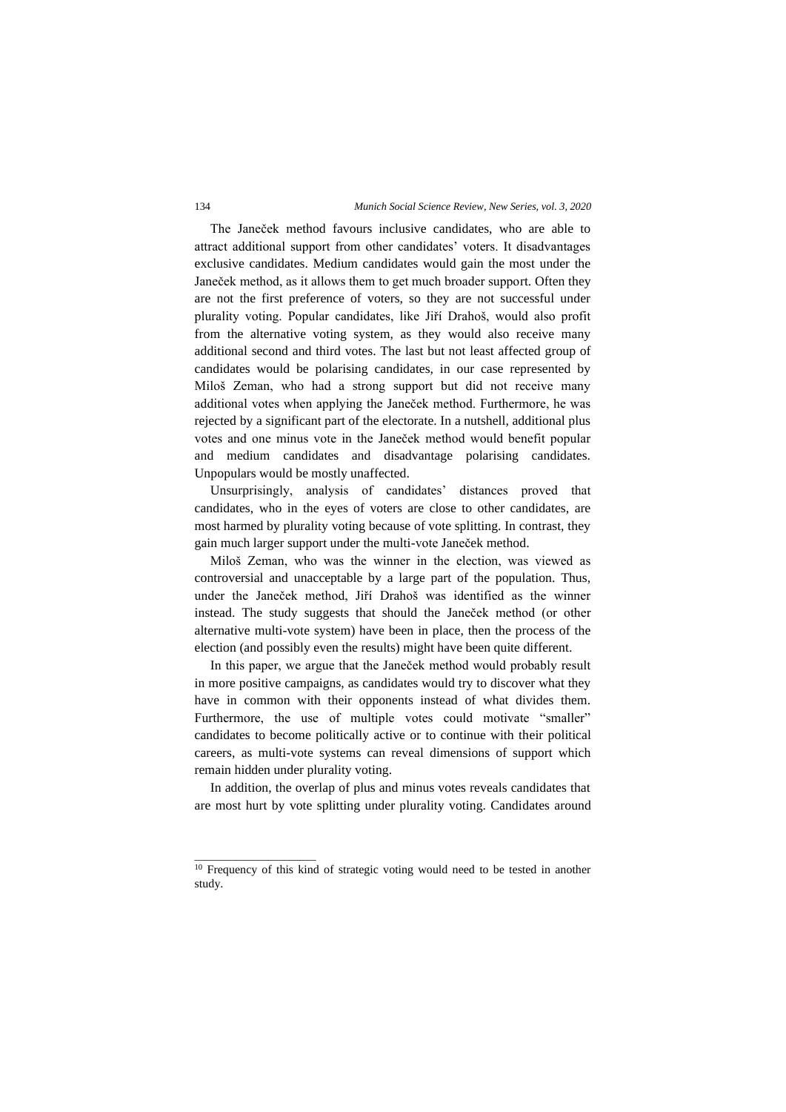#### 134 *Munich Social Science Review, New Series, vol. 3, 2020*

The Janeček method favours inclusive candidates, who are able to attract additional support from other candidates' voters. It disadvantages exclusive candidates. Medium candidates would gain the most under the Janeček method, as it allows them to get much broader support. Often they are not the first preference of voters, so they are not successful under plurality voting. Popular candidates, like Jiří Drahoš, would also profit from the alternative voting system, as they would also receive many additional second and third votes. The last but not least affected group of candidates would be polarising candidates, in our case represented by Miloš Zeman, who had a strong support but did not receive many additional votes when applying the Janeček method. Furthermore, he was rejected by a significant part of the electorate. In a nutshell, additional plus votes and one minus vote in the Janeček method would benefit popular and medium candidates and disadvantage polarising candidates. Unpopulars would be mostly unaffected.

Unsurprisingly, analysis of candidates' distances proved that candidates, who in the eyes of voters are close to other candidates, are most harmed by plurality voting because of vote splitting. In contrast, they gain much larger support under the multi-vote Janeček method.

Miloš Zeman, who was the winner in the election, was viewed as controversial and unacceptable by a large part of the population. Thus, under the Janeček method, Jiří Drahoš was identified as the winner instead. The study suggests that should the Janeček method (or other alternative multi-vote system) have been in place, then the process of the election (and possibly even the results) might have been quite different.

In this paper, we argue that the Janeček method would probably result in more positive campaigns, as candidates would try to discover what they have in common with their opponents instead of what divides them. Furthermore, the use of multiple votes could motivate "smaller" candidates to become politically active or to continue with their political careers, as multi-vote systems can reveal dimensions of support which remain hidden under plurality voting.

In addition, the overlap of plus and minus votes reveals candidates that are most hurt by vote splitting under plurality voting. Candidates around

\_\_\_\_\_\_\_\_\_\_\_\_\_\_\_\_\_\_\_\_\_\_\_

<sup>&</sup>lt;sup>10</sup> Frequency of this kind of strategic voting would need to be tested in another study.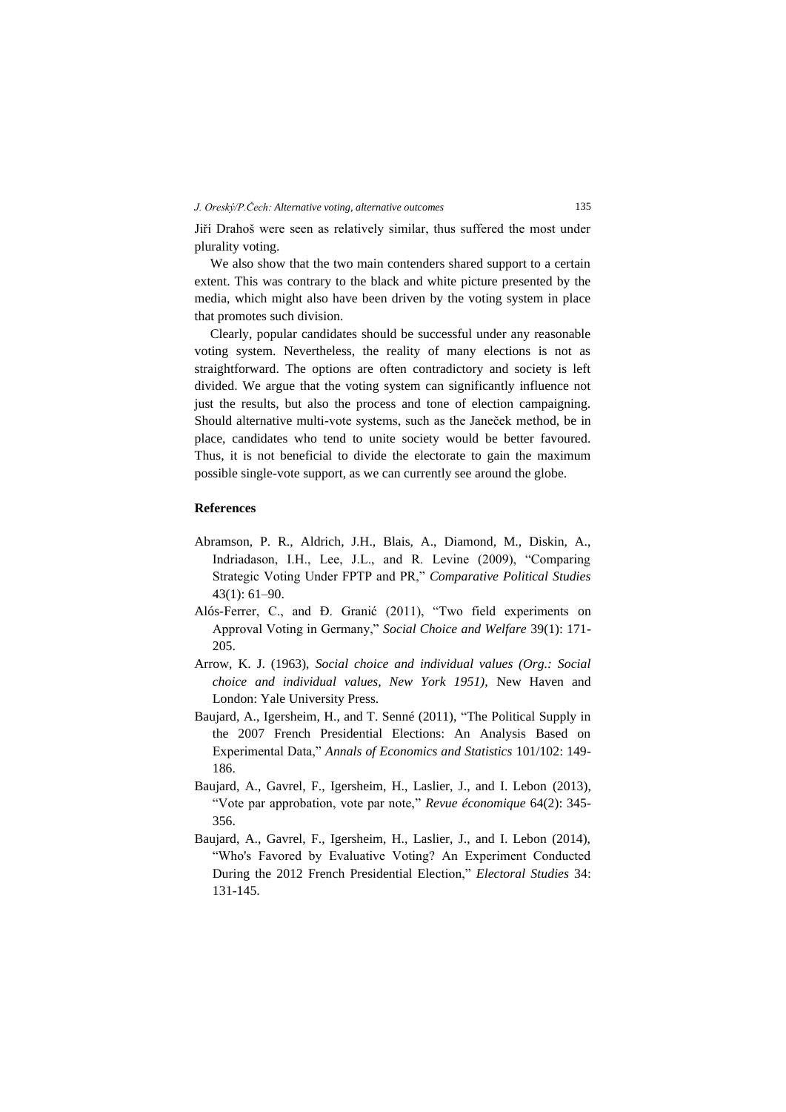Jiří Drahoš were seen as relatively similar, thus suffered the most under plurality voting.

We also show that the two main contenders shared support to a certain extent. This was contrary to the black and white picture presented by the media, which might also have been driven by the voting system in place that promotes such division.

Clearly, popular candidates should be successful under any reasonable voting system. Nevertheless, the reality of many elections is not as straightforward. The options are often contradictory and society is left divided. We argue that the voting system can significantly influence not just the results, but also the process and tone of election campaigning. Should alternative multi-vote systems, such as the Janeček method, be in place, candidates who tend to unite society would be better favoured. Thus, it is not beneficial to divide the electorate to gain the maximum possible single-vote support, as we can currently see around the globe.

## **References**

- Abramson, P. R., Aldrich, J.H., Blais, A., Diamond, M., Diskin, A., Indriadason, I.H., Lee, J.L., and R. Levine (2009), "Comparing Strategic Voting Under FPTP and PR," *Comparative Political Studies* 43(1): 61–90.
- Alós-Ferrer, C., and Ð. Granić (2011), "Two field experiments on Approval Voting in Germany," *Social Choice and Welfare* 39(1): 171- 205.
- Arrow, K. J. (1963), *Social choice and individual values (Org.: Social choice and individual values, New York 1951),* New Haven and London: Yale University Press.
- Baujard, A., Igersheim, H., and T. Senné (2011), "The Political Supply in the 2007 French Presidential Elections: An Analysis Based on Experimental Data," *Annals of Economics and Statistics* 101/102: 149- 186.
- Baujard, A., Gavrel, F., Igersheim, H., Laslier, J., and I. Lebon (2013), "Vote par approbation, vote par note," *Revue économique* 64(2): 345- 356.
- Baujard, A., Gavrel, F., Igersheim, H., Laslier, J., and I. Lebon (2014), "Who's Favored by Evaluative Voting? An Experiment Conducted During the 2012 French Presidential Election," *Electoral Studies* 34: 131-145.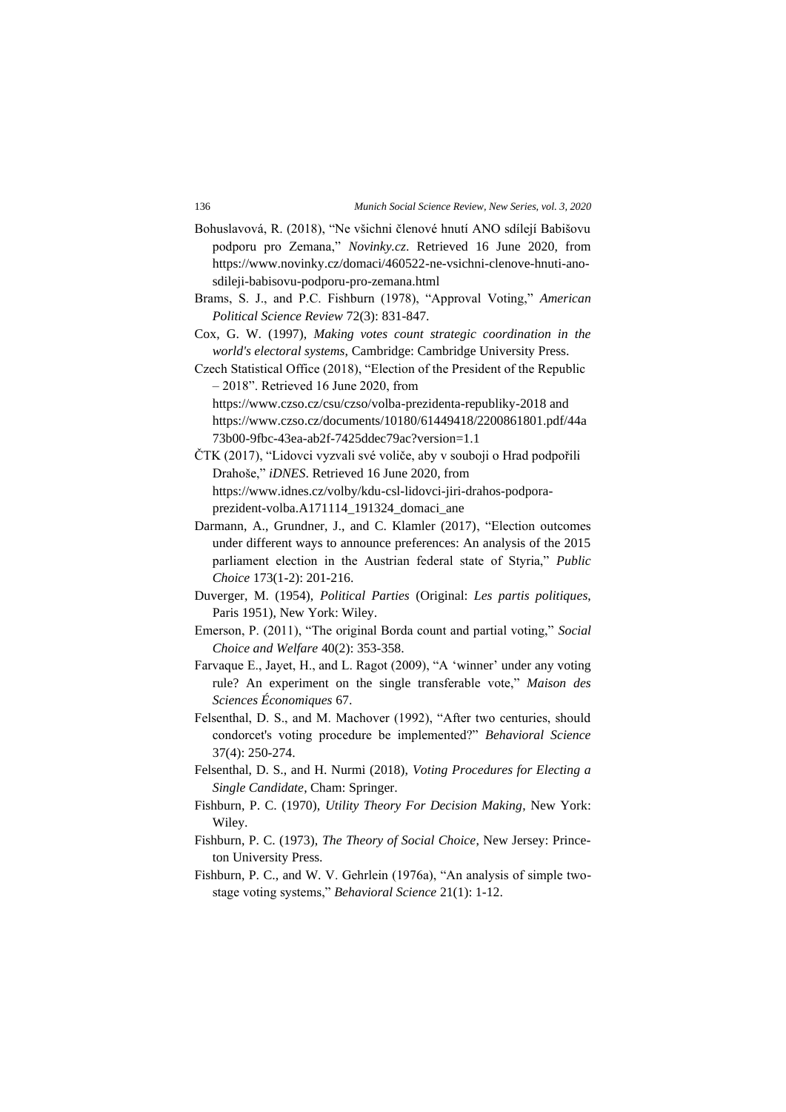- Bohuslavová, R. (2018), "Ne všichni členové hnutí ANO sdílejí Babišovu podporu pro Zemana," *Novinky.cz*. Retrieved 16 June 2020, from [https://www.novinky.cz/domaci/460522-ne-vsichni-clenove-hnuti-ano](https://www.novinky.cz/domaci/460522-ne-vsichni-clenove-hnuti-ano-sdileji-babisovu-podporu-pro-zemana.html)[sdileji-babisovu-podporu-pro-zemana.html](https://www.novinky.cz/domaci/460522-ne-vsichni-clenove-hnuti-ano-sdileji-babisovu-podporu-pro-zemana.html)
- Brams, S. J., and P.C. Fishburn (1978), "Approval Voting," *American Political Science Review* 72(3): 831-847.
- Cox, G. W. (1997), *Making votes count strategic coordination in the world's electoral systems*, Cambridge: Cambridge University Press.
- Czech Statistical Office (2018), "Election of the President of the Republic – 2018". Retrieved 16 June 2020, from
	- <https://www.czso.cz/csu/czso/volba-prezidenta-republiky-2018> and [https://www.czso.cz/documents/10180/61449418/2200861801.pdf/44a](https://www.czso.cz/documents/10180/61449418/2200861801.pdf/44a73b00-9fbc-43ea-ab2f-7425ddec79ac?version=1.1) [73b00-9fbc-43ea-ab2f-7425ddec79ac?version=1.1](https://www.czso.cz/documents/10180/61449418/2200861801.pdf/44a73b00-9fbc-43ea-ab2f-7425ddec79ac?version=1.1)
- ČTK (2017), "Lidovci vyzvali své voliče, aby v souboji o Hrad podpořili Drahoše," *iDNES*. Retrieved 16 June 2020, from [https://www.idnes.cz/volby/kdu-csl-lidovci-jiri-drahos-podpora](https://www.idnes.cz/volby/kdu-csl-lidovci-jiri-drahos-podpora-prezident-volba.A171114_191324_domaci_ane)[prezident-volba.A171114\\_191324\\_domaci\\_ane](https://www.idnes.cz/volby/kdu-csl-lidovci-jiri-drahos-podpora-prezident-volba.A171114_191324_domaci_ane)
- Darmann, A., Grundner, J., and C. Klamler (2017), "Election outcomes under different ways to announce preferences: An analysis of the 2015 parliament election in the Austrian federal state of Styria," *Public Choice* 173(1-2): 201-216.
- Duverger, M. (1954), *Political Parties* (Original: *Les partis politiques*, Paris 1951), New York: Wiley.
- Emerson, P. (2011), "The original Borda count and partial voting," *Social Choice and Welfare* 40(2): 353-358.
- Farvaque E., Jayet, H., and L. Ragot (2009), "A 'winner' under any voting rule? An experiment on the single transferable vote," *Maison des Sciences Économiques* 67.
- Felsenthal, D. S., and M. Machover (1992), "After two centuries, should condorcet's voting procedure be implemented?" *Behavioral Science* 37(4): 250-274.
- Felsenthal, D. S., and H. Nurmi (2018), *Voting Procedures for Electing a Single Candidate*, Cham: Springer.
- Fishburn, P. C. (1970), *Utility Theory For Decision Making*, New York: Wiley.
- Fishburn, P. C. (1973), *The Theory of Social Choice*, New Jersey: Princeton University Press.
- Fishburn, P. C., and W. V. Gehrlein (1976a), "An analysis of simple twostage voting systems," *Behavioral Science* 21(1): 1-12.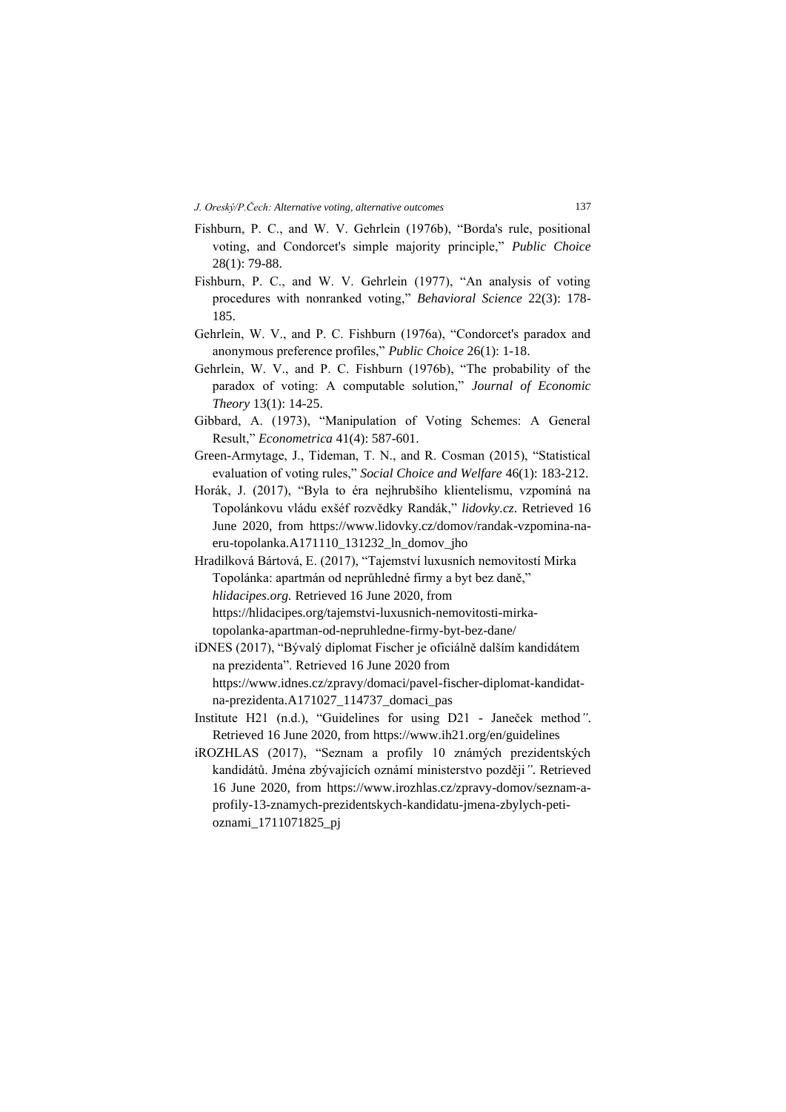- Fishburn, P. C., and W. V. Gehrlein (1976b), "Borda's rule, positional voting, and Condorcet's simple majority principle," *Public Choice* 28(1): 79-88.
- Fishburn, P. C., and W. V. Gehrlein (1977), "An analysis of voting procedures with nonranked voting," *Behavioral Science* 22(3): 178- 185.
- Gehrlein, W. V., and P. C. Fishburn (1976a), "Condorcet's paradox and anonymous preference profiles," *Public Choice* 26(1): 1-18.
- Gehrlein, W. V., and P. C. Fishburn (1976b), "The probability of the paradox of voting: A computable solution," *Journal of Economic Theory* 13(1): 14-25.
- Gibbard, A. (1973), "Manipulation of Voting Schemes: A General Result," *Econometrica* 41(4): 587-601.
- Green-Armytage, J., Tideman, T. N., and R. Cosman (2015), "Statistical evaluation of voting rules," *Social Choice and Welfare* 46(1): 183-212.
- Horák, J. (2017), "Byla to éra nejhrubšího klientelismu, vzpomíná na Topolánkovu vládu exšéf rozvědky Randák," *lidovky.cz*. Retrieved 16 June 2020, from [https://www.lidovky.cz/domov/randak-vzpomina-na](https://www.lidovky.cz/domov/randak-vzpomina-na-eru-topolanka.A171110_131232_ln_domov_jho)[eru-topolanka.A171110\\_131232\\_ln\\_domov\\_jho](https://www.lidovky.cz/domov/randak-vzpomina-na-eru-topolanka.A171110_131232_ln_domov_jho)
- Hradilková Bártová, E. (2017), "Tajemství luxusních nemovitostí Mirka Topolánka: apartmán od neprůhledné firmy a byt bez daně," *hlidacipes.org.* Retrieved 16 June 2020, from [https://hlidacipes.org/tajemstvi-luxusnich-nemovitosti-mirka](https://hlidacipes.org/tajemstvi-luxusnich-nemovitosti-mirka-topolanka-apartman-od-nepruhledne-firmy-byt-bez-dane/)[topolanka-apartman-od-nepruhledne-firmy-byt-bez-dane/](https://hlidacipes.org/tajemstvi-luxusnich-nemovitosti-mirka-topolanka-apartman-od-nepruhledne-firmy-byt-bez-dane/)
- iDNES (2017), "Bývalý diplomat Fischer je oficiálně dalším kandidátem na prezidenta". Retrieved 16 June 2020 from [https://www.idnes.cz/zpravy/domaci/pavel-fischer-diplomat-kandidat](https://www.idnes.cz/zpravy/domaci/pavel-fischer-diplomat-kandidat-na-prezidenta.A171027_114737_domaci_pas)[na-prezidenta.A171027\\_114737\\_domaci\\_pas](https://www.idnes.cz/zpravy/domaci/pavel-fischer-diplomat-kandidat-na-prezidenta.A171027_114737_domaci_pas)
- Institute H21 (n.d.), "Guidelines for using D21 Janeček method*"*. Retrieved 16 June 2020, fro[m https://www.ih21.org/en/guidelines](https://www.ih21.org/en/guidelines)
- iROZHLAS (2017), "Seznam a profily 10 známých prezidentských kandidátů. Jména zbývajících oznámí ministerstvo později*"*. Retrieved 16 June 2020, from [https://www.irozhlas.cz/zpravy-domov/seznam-a](https://www.irozhlas.cz/zpravy-domov/seznam-a-profily-13-znamych-prezidentskych-kandidatu-jmena-zbylych-peti-oznami_1711071825_pj)[profily-13-znamych-prezidentskych-kandidatu-jmena-zbylych-peti](https://www.irozhlas.cz/zpravy-domov/seznam-a-profily-13-znamych-prezidentskych-kandidatu-jmena-zbylych-peti-oznami_1711071825_pj)[oznami\\_1711071825\\_pj](https://www.irozhlas.cz/zpravy-domov/seznam-a-profily-13-znamych-prezidentskych-kandidatu-jmena-zbylych-peti-oznami_1711071825_pj)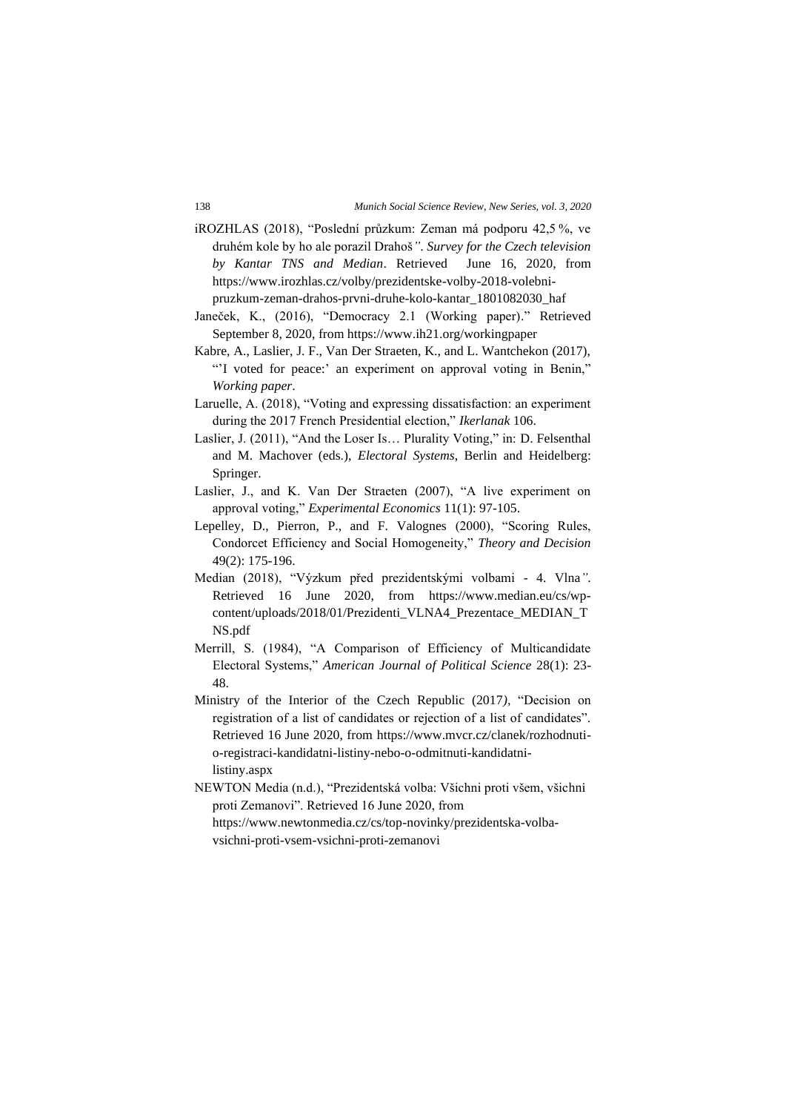- iROZHLAS (2018), "Poslední průzkum: Zeman má podporu 42,5 %, ve druhém kole by ho ale porazil Drahoš*"*. *Survey for the Czech television by Kantar TNS and Median*. Retrieved June 16, 2020, from [https://www.irozhlas.cz/volby/prezidentske-volby-2018-volebni](https://www.irozhlas.cz/volby/prezidentske-volby-2018-volebni-pruzkum-zeman-drahos-prvni-druhe-kolo-kantar_1801082030_haf)[pruzkum-zeman-drahos-prvni-druhe-kolo-kantar\\_1801082030\\_haf](https://www.irozhlas.cz/volby/prezidentske-volby-2018-volebni-pruzkum-zeman-drahos-prvni-druhe-kolo-kantar_1801082030_haf)
- Janeček, K., (2016), "Democracy 2.1 (Working paper)." Retrieved September 8, 2020, from https://www.ih21.org/workingpaper
- Kabre, A., Laslier, J. F., Van Der Straeten, K., and L. Wantchekon (2017), "'I voted for peace:' an experiment on approval voting in Benin," *Working paper*.
- Laruelle, A. (2018), "Voting and expressing dissatisfaction: an experiment during the 2017 French Presidential election," *Ikerlanak* 106.
- Laslier, J. (2011), "And the Loser Is… Plurality Voting," in: D. Felsenthal and M. Machover (eds.), *Electoral Systems*, Berlin and Heidelberg: Springer.
- Laslier, J., and K. Van Der Straeten (2007), "A live experiment on approval voting," *Experimental Economics* 11(1): 97-105.
- Lepelley, D., Pierron, P., and F. Valognes (2000), "Scoring Rules, Condorcet Efficiency and Social Homogeneity," *Theory and Decision* 49(2): 175-196.
- Median (2018), "Výzkum před prezidentskými volbami 4. Vlna*"*. Retrieved 16 June 2020, from [https://www.median.eu/cs/wp](https://www.median.eu/cs/wp-content/uploads/2018/01/Prezidenti_VLNA4_Prezentace_MEDIAN_TNS.pdf)[content/uploads/2018/01/Prezidenti\\_VLNA4\\_Prezentace\\_MEDIAN\\_T](https://www.median.eu/cs/wp-content/uploads/2018/01/Prezidenti_VLNA4_Prezentace_MEDIAN_TNS.pdf) [NS.pdf](https://www.median.eu/cs/wp-content/uploads/2018/01/Prezidenti_VLNA4_Prezentace_MEDIAN_TNS.pdf)
- Merrill, S. (1984), "A Comparison of Efficiency of Multicandidate Electoral Systems," *American Journal of Political Science* 28(1): 23- 48.
- Ministry of the Interior of the Czech Republic (2017*),* "Decision on registration of a list of candidates or rejection of a list of candidates". Retrieved 16 June 2020, from [https://www.mvcr.cz/clanek/rozhodnuti](https://www.mvcr.cz/clanek/rozhodnuti-o-registraci-kandidatni-listiny-nebo-o-odmitnuti-kandidatni-listiny.aspx)[o-registraci-kandidatni-listiny-nebo-o-odmitnuti-kandidatni](https://www.mvcr.cz/clanek/rozhodnuti-o-registraci-kandidatni-listiny-nebo-o-odmitnuti-kandidatni-listiny.aspx)[listiny.aspx](https://www.mvcr.cz/clanek/rozhodnuti-o-registraci-kandidatni-listiny-nebo-o-odmitnuti-kandidatni-listiny.aspx)
- NEWTON Media (n.d.), "Prezidentská volba: Všichni proti všem, všichni proti Zemanovi". Retrieved 16 June 2020, from [https://www.newtonmedia.cz/cs/top-novinky/prezidentska-volba](https://www.newtonmedia.cz/cs/top-novinky/prezidentska-volba-vsichni-proti-vsem-vsichni-proti-zemanovi)[vsichni-proti-vsem-vsichni-proti-zemanovi](https://www.newtonmedia.cz/cs/top-novinky/prezidentska-volba-vsichni-proti-vsem-vsichni-proti-zemanovi)